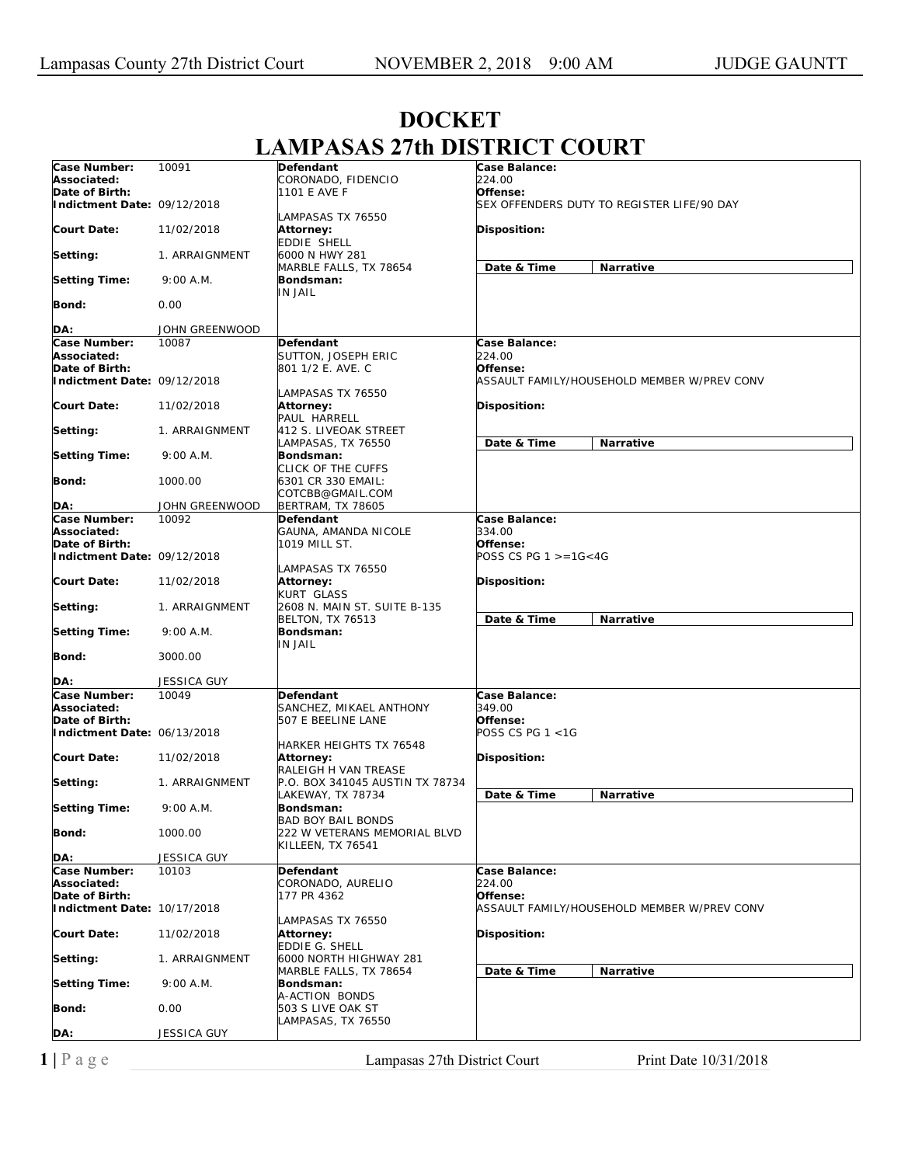|                             |                    | I LINLIN E                      | no ro                                       |
|-----------------------------|--------------------|---------------------------------|---------------------------------------------|
| Case Number:                | 10091              | Defendant                       | Case Balance:                               |
| Associated:                 |                    | CORONADO, FIDENCIO              | 224.00                                      |
| Date of Birth:              |                    | 1101 E AVE F                    | Offense:                                    |
|                             |                    |                                 |                                             |
| Indictment Date: 09/12/2018 |                    |                                 | SEX OFFENDERS DUTY TO REGISTER LIFE/90 DAY  |
|                             |                    | LAMPASAS TX 76550               |                                             |
| <b>Court Date:</b>          | 11/02/2018         | Attorney:                       | <b>Disposition:</b>                         |
|                             |                    | EDDIE SHELL                     |                                             |
| Setting:                    | 1. ARRAIGNMENT     | 6000 N HWY 281                  |                                             |
|                             |                    | MARBLE FALLS, TX 78654          | Date & Time<br><b>Narrative</b>             |
| <b>Setting Time:</b>        | 9:00 A.M.          | Bondsman:                       |                                             |
|                             |                    | IN JAIL                         |                                             |
|                             |                    |                                 |                                             |
| <b>Bond:</b>                | 0.00               |                                 |                                             |
|                             |                    |                                 |                                             |
| DA:                         | JOHN GREENWOOD     |                                 |                                             |
| Case Number:                | 10087              | <b>Defendant</b>                | Case Balance:                               |
| Associated:                 |                    | SUTTON, JOSEPH ERIC             | 224.00                                      |
| Date of Birth:              |                    | 801 1/2 E. AVE. C               | Offense:                                    |
| Indictment Date: 09/12/2018 |                    |                                 | ASSAULT FAMILY/HOUSEHOLD MEMBER W/PREV CONV |
|                             |                    | LAMPASAS TX 76550               |                                             |
|                             |                    |                                 |                                             |
| <b>Court Date:</b>          | 11/02/2018         | Attorney:                       | <b>Disposition:</b>                         |
|                             |                    | PAUL HARRELL                    |                                             |
| Setting:                    | 1. ARRAIGNMENT     | 412 S. LIVEOAK STREET           |                                             |
|                             |                    | LAMPASAS, TX 76550              | Date & Time<br>Narrative                    |
| <b>Setting Time:</b>        | 9:00 A.M.          | Bondsman:                       |                                             |
|                             |                    | CLICK OF THE CUFFS              |                                             |
| <b>Bond:</b>                | 1000.00            | 6301 CR 330 EMAIL:              |                                             |
|                             |                    | COTCBB@GMAIL.COM                |                                             |
|                             |                    |                                 |                                             |
| DA:                         | JOHN GREENWOOD     | <b>BERTRAM, TX 78605</b>        |                                             |
| Case Number:                | 10092              | Defendant                       | Case Balance:                               |
| Associated:                 |                    | GAUNA, AMANDA NICOLE            | 334.00                                      |
| Date of Birth:              |                    | 1019 MILL ST.                   | Offense:                                    |
| Indictment Date: 09/12/2018 |                    |                                 | POSS CS PG $1 > = 16 < 4G$                  |
|                             |                    | LAMPASAS TX 76550               |                                             |
| <b>Court Date:</b>          | 11/02/2018         | Attorney:                       | Disposition:                                |
|                             |                    |                                 |                                             |
|                             |                    | KURT GLASS                      |                                             |
| Setting:                    | 1. ARRAIGNMENT     | 2608 N. MAIN ST. SUITE B-135    |                                             |
|                             |                    | <b>BELTON, TX 76513</b>         | Date & Time<br><b>Narrative</b>             |
| <b>Setting Time:</b>        | 9:00 A.M.          | Bondsman:                       |                                             |
|                             |                    | IN JAIL                         |                                             |
| Bond:                       | 3000.00            |                                 |                                             |
|                             |                    |                                 |                                             |
| DA:                         | <b>JESSICA GUY</b> |                                 |                                             |
| Case Number:                | 10049              | Defendant                       | Case Balance:                               |
|                             |                    |                                 |                                             |
| Associated:                 |                    | SANCHEZ, MIKAEL ANTHONY         | 349.00                                      |
| Date of Birth:              |                    | 507 E BEELINE LANE              | Offense:                                    |
| Indictment Date: 06/13/2018 |                    |                                 | POSS CS PG 1 <1G                            |
|                             |                    | HARKER HEIGHTS TX 76548         |                                             |
| <b>Court Date:</b>          | 11/02/2018         | Attorney:                       | Disposition:                                |
|                             |                    | RALEIGH H VAN TREASE            |                                             |
| Setting:                    | 1. ARRAIGNMENT     | P.O. BOX 341045 AUSTIN TX 78734 |                                             |
|                             |                    |                                 |                                             |
|                             |                    | LAKEWAY, TX 78734               | Date & Time<br>Narrative                    |
| <b>Setting Time:</b>        | 9:00 A.M.          | Bondsman:                       |                                             |
|                             |                    | <b>BAD BOY BAIL BONDS</b>       |                                             |
| Bond:                       | 1000.00            | 222 W VETERANS MEMORIAL BLVD    |                                             |
|                             |                    | KILLEEN, TX 76541               |                                             |
| DA:                         | JESSICA GUY        |                                 |                                             |
| Case Number:                | 10103              | Defendant                       | Case Balance:                               |
| Associated:                 |                    | CORONADO, AURELIO               | 224.00                                      |
| Date of Birth:              |                    |                                 |                                             |
|                             |                    | 177 PR 4362                     | Offense:                                    |
| Indictment Date: 10/17/2018 |                    |                                 | ASSAULT FAMILY/HOUSEHOLD MEMBER W/PREV CONV |
|                             |                    | LAMPASAS TX 76550               |                                             |
| <b>Court Date:</b>          | 11/02/2018         | Attorney:                       | Disposition:                                |
|                             |                    | EDDIE G. SHELL                  |                                             |
| Setting:                    | 1. ARRAIGNMENT     | 6000 NORTH HIGHWAY 281          |                                             |
|                             |                    | MARBLE FALLS, TX 78654          | Date & Time<br>Narrative                    |
| <b>Setting Time:</b>        | 9:00 A.M.          | Bondsman:                       |                                             |
|                             |                    |                                 |                                             |
|                             |                    | A-ACTION BONDS                  |                                             |
| <b>Bond:</b>                | 0.00               | 503 S LIVE OAK ST               |                                             |
|                             |                    | LAMPASAS, TX 76550              |                                             |
| DA:                         | JESSICA GUY        |                                 |                                             |
|                             |                    |                                 |                                             |
| $1$   Page                  |                    | Lampasas 27th District Court    | Print Date 10/31/2018                       |
|                             |                    |                                 |                                             |

## **DOCKET LAMPASAS 27th DISTRICT COURT**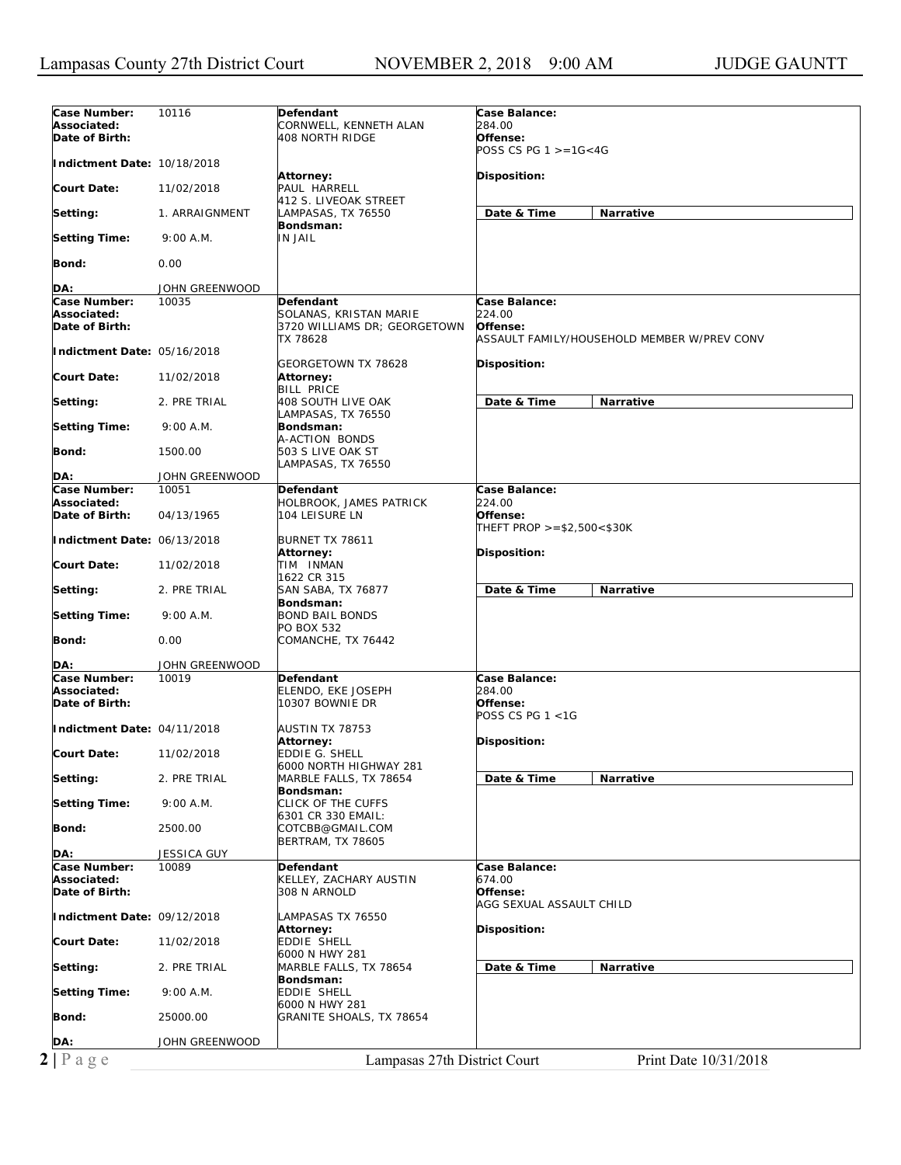| Case Number:                | 10116              | Defendant                       | Case Balance:                               |
|-----------------------------|--------------------|---------------------------------|---------------------------------------------|
| Associated:                 |                    | CORNWELL, KENNETH ALAN          | 284.00                                      |
| Date of Birth:              |                    | 408 NORTH RIDGE                 | Offense:                                    |
|                             |                    |                                 | POSS CS PG $1 > = 16 < 4G$                  |
| Indictment Date: 10/18/2018 |                    |                                 |                                             |
|                             |                    | Attorney:                       | Disposition:                                |
| Court Date:                 | 11/02/2018         | PAUL HARRELL                    |                                             |
|                             |                    | 412 S. LIVEOAK STREET           |                                             |
| Setting:                    | 1. ARRAIGNMENT     | LAMPASAS, TX 76550              | Date & Time<br>Narrative                    |
|                             |                    | Bondsman:                       |                                             |
| Setting Time:               | 9:00 A.M.          | <b>IN JAIL</b>                  |                                             |
| Bond:                       | 0.00               |                                 |                                             |
|                             |                    |                                 |                                             |
| DA:                         | JOHN GREENWOOD     |                                 |                                             |
| Case Number:                | 10035              | Defendant                       | Case Balance:                               |
| Associated:                 |                    | SOLANAS, KRISTAN MARIE          | 224.00                                      |
| Date of Birth:              |                    | 3720 WILLIAMS DR; GEORGETOWN    | Offense:                                    |
|                             |                    | TX 78628                        | ASSAULT FAMILY/HOUSEHOLD MEMBER W/PREV CONV |
| Indictment Date: 05/16/2018 |                    |                                 |                                             |
|                             |                    | GEORGETOWN TX 78628             | <b>Disposition:</b>                         |
| Court Date:                 | 11/02/2018         | Attorney:                       |                                             |
|                             |                    | <b>BILL PRICE</b>               |                                             |
| Setting:                    | 2. PRE TRIAL       | 408 SOUTH LIVE OAK              | <b>Narrative</b><br>Date & Time             |
|                             |                    | LAMPASAS, TX 76550              |                                             |
| <b>Setting Time:</b>        | 9:00 A.M.          | Bondsman:                       |                                             |
|                             |                    | A-ACTION BONDS                  |                                             |
| Bond:                       | 1500.00            | 503 S LIVE OAK ST               |                                             |
| DA:                         | JOHN GREENWOOD     | LAMPASAS, TX 76550              |                                             |
| Case Number:                | 10051              | Defendant                       | Case Balance:                               |
| Associated:                 |                    | HOLBROOK, JAMES PATRICK         | 224.00                                      |
| Date of Birth:              | 04/13/1965         | 104 LEISURE LN                  | Offense:                                    |
|                             |                    |                                 | THEFT PROP $>= $2,500 < $30K$               |
| Indictment Date: 06/13/2018 |                    | BURNET TX 78611                 |                                             |
|                             |                    | Attorney:                       | <b>Disposition:</b>                         |
| Court Date:                 | 11/02/2018         | TIM INMAN                       |                                             |
|                             |                    | 1622 CR 315                     |                                             |
| Setting:                    | 2. PRE TRIAL       | SAN SABA, TX 76877              | Date & Time<br>Narrative                    |
|                             |                    | Bondsman:                       |                                             |
| <b>Setting Time:</b>        | 9:00 A.M.          | <b>BOND BAIL BONDS</b>          |                                             |
|                             |                    | PO BOX 532                      |                                             |
| Bond:                       | 0.00               | COMANCHE, TX 76442              |                                             |
|                             |                    |                                 |                                             |
| DA:<br>Case Number:         | JOHN GREENWOOD     |                                 | Case Balance:                               |
| Associated:                 | 10019              | Defendant<br>ELENDO, EKE JOSEPH | 284.00                                      |
| Date of Birth:              |                    | 10307 BOWNIE DR                 | Offense:                                    |
|                             |                    |                                 | POSS CS PG 1 <1G                            |
| Indictment Date: 04/11/2018 |                    | AUSTIN TX 78753                 |                                             |
|                             |                    | Attorney:                       | Disposition:                                |
| Court Date:                 | 11/02/2018         | EDDIE G. SHELL                  |                                             |
|                             |                    | 6000 NORTH HIGHWAY 281          |                                             |
| Setting:                    | 2. PRE TRIAL       | MARBLE FALLS, TX 78654          | Date & Time<br>Narrative                    |
|                             |                    | Bondsman:                       |                                             |
| <b>Setting Time:</b>        | 9:00 A.M.          | <b>CLICK OF THE CUFFS</b>       |                                             |
|                             |                    | 6301 CR 330 EMAIL:              |                                             |
| Bond:                       | 2500.00            | COTCBB@GMAIL.COM                |                                             |
|                             |                    | <b>BERTRAM, TX 78605</b>        |                                             |
| DA:                         | <b>JESSICA GUY</b> |                                 |                                             |
| Case Number:                | 10089              | Defendant                       | Case Balance:                               |
| Associated:                 |                    | KELLEY, ZACHARY AUSTIN          | 674.00                                      |
| Date of Birth:              |                    | 308 N ARNOLD                    | Offense:<br>AGG SEXUAL ASSAULT CHILD        |
| Indictment Date: 09/12/2018 |                    | LAMPASAS TX 76550               |                                             |
|                             |                    | Attorney:                       | <b>Disposition:</b>                         |
| <b>Court Date:</b>          | 11/02/2018         | EDDIE SHELL                     |                                             |
|                             |                    | 6000 N HWY 281                  |                                             |
| Setting:                    | 2. PRE TRIAL       | MARBLE FALLS, TX 78654          | Date & Time<br>Narrative                    |
|                             |                    | Bondsman:                       |                                             |
| <b>Setting Time:</b>        | 9:00 A.M.          | EDDIE SHELL                     |                                             |
|                             |                    | 6000 N HWY 281                  |                                             |
| Bond:                       | 25000.00           | GRANITE SHOALS, TX 78654        |                                             |
|                             |                    |                                 |                                             |
| DA:                         | JOHN GREENWOOD     |                                 |                                             |
| $2 P \text{ a } g e$        |                    | Lampasas 27th District Court    | Print Date 10/31/2018                       |
|                             |                    |                                 |                                             |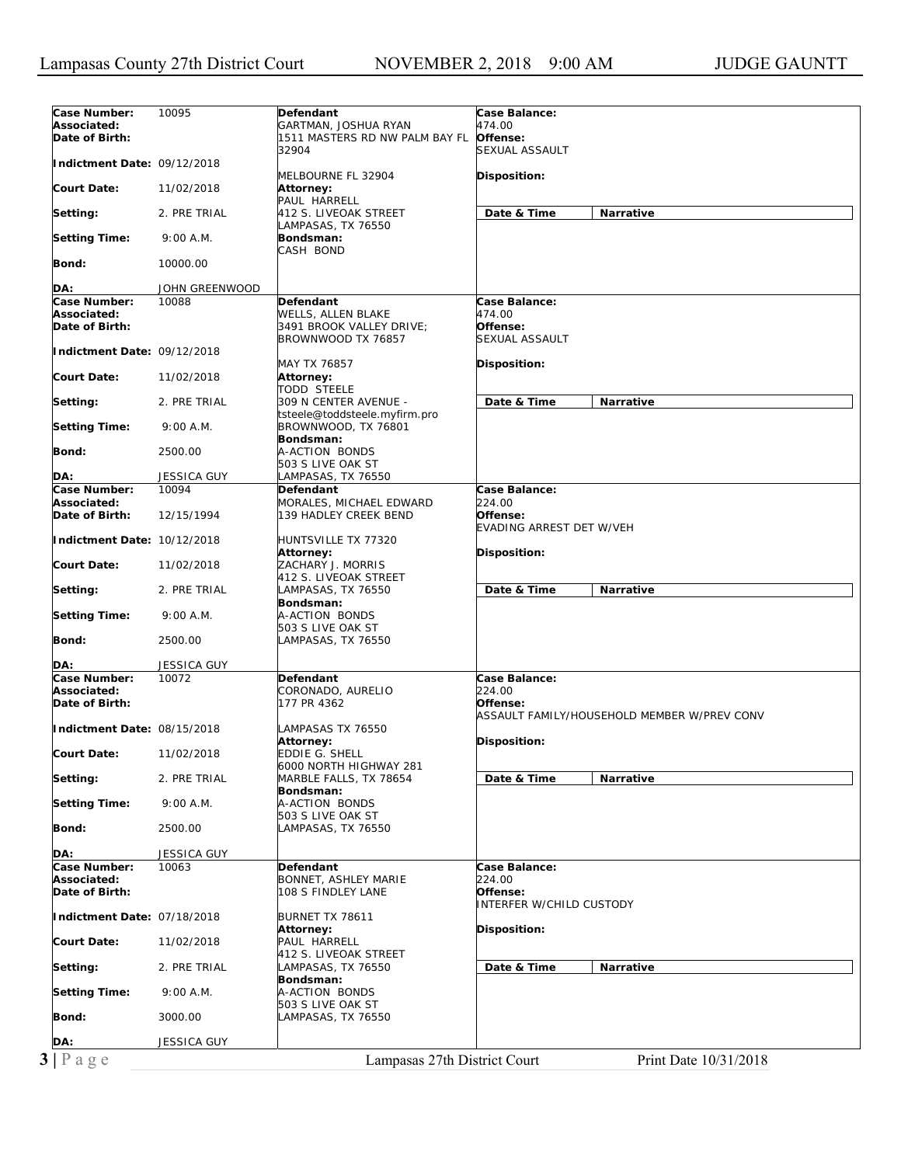| Case Number:<br>10095<br>Defendant<br>Case Balance:<br>Associated:<br>474.00<br>GARTMAN, JOSHUA RYAN<br>Date of Birth:<br>Offense:<br>1511 MASTERS RD NW PALM BAY FL<br>32904<br>SEXUAL ASSAULT<br>Indictment Date: 09/12/2018<br>MELBOURNE FL 32904<br>Disposition:<br>Court Date:<br>11/02/2018<br><b>Attorney:</b><br>PAUL HARRELL<br>Date & Time<br>Narrative<br>Setting:<br>2. PRE TRIAL<br>412 S. LIVEOAK STREET<br>LAMPASAS, TX 76550<br><b>Setting Time:</b><br>9:00 A.M.<br>Bondsman:<br>CASH BOND<br>Bond:<br>10000.00<br>DA:<br>JOHN GREENWOOD<br>Case Number:<br>10088<br>Case Balance:<br>Defendant<br>Associated:<br>474.00<br>WELLS, ALLEN BLAKE<br>Date of Birth:<br>Offense:<br>3491 BROOK VALLEY DRIVE;<br>SEXUAL ASSAULT<br>BROWNWOOD TX 76857<br>Indictment Date: 09/12/2018<br>MAY TX 76857<br>Disposition:<br><b>Court Date:</b><br>11/02/2018<br><b>Attorney:</b><br><b>TODD STEELE</b><br>Date & Time<br>Narrative<br>Setting:<br>2. PRE TRIAL<br>309 N CENTER AVENUE -<br>tsteele@toddsteele.myfirm.pro<br><b>Setting Time:</b><br>9:00 A.M.<br>BROWNWOOD, TX 76801<br>Bondsman:<br>Bond:<br>2500.00<br>A-ACTION BONDS<br>503 S LIVE OAK ST<br>DA:<br><b>JESSICA GUY</b><br>AMPASAS, TX 76550<br>Case Number:<br>10094<br>Case Balance:<br>Defendant<br>Associated:<br>224.00<br>MORALES, MICHAEL EDWARD<br>Date of Birth:<br>12/15/1994<br>139 HADLEY CREEK BEND<br>Offense:<br>EVADING ARREST DET W/VEH<br>Indictment Date: 10/12/2018<br>HUNTSVILLE TX 77320<br>Disposition:<br><b>Attorney:</b><br><b>Court Date:</b><br>ZACHARY J. MORRIS<br>11/02/2018<br>412 S. LIVEOAK STREET<br>Date & Time<br>Setting:<br>2. PRE TRIAL<br>LAMPASAS, TX 76550<br>Narrative<br>Bondsman:<br><b>Setting Time:</b><br>9:00 A.M.<br>A-ACTION BONDS<br>503 S LIVE OAK ST<br>Bond:<br>2500.00<br>LAMPASAS, TX 76550<br>JESSICA GUY<br>DA:<br>Case Balance:<br>Case Number:<br>10072<br><b>Defendant</b><br>224.00<br>Associated:<br>CORONADO, AURELIO<br>177 PR 4362<br>Date of Birth:<br>Offense:<br>ASSAULT FAMILY/HOUSEHOLD MEMBER W/PREV CONV<br>Indictment Date: 08/15/2018<br>LAMPASAS TX 76550<br>Attorney:<br>Disposition:<br>11/02/2018<br>EDDIE G. SHELL<br><b>Court Date:</b><br>6000 NORTH HIGHWAY 281<br>MARBLE FALLS, TX 78654<br>Date & Time<br>Narrative<br>Setting:<br>2. PRE TRIAL<br>Bondsman:<br><b>Setting Time:</b><br>A-ACTION BONDS<br>9:00 A.M.<br>503 S LIVE OAK ST<br>Bond:<br>2500.00<br>LAMPASAS, TX 76550<br>DA:<br>JESSICA GUY<br>Case Number:<br>Case Balance:<br>10063<br>Defendant<br>Associated:<br>224.00<br>BONNET, ASHLEY MARIE<br>Date of Birth:<br>Offense:<br>108 S FINDLEY LANE<br><b>INTERFER W/CHILD CUSTODY</b><br>Indictment Date: 07/18/2018<br>BURNET TX 78611<br>Disposition:<br><b>Attorney:</b><br><b>Court Date:</b><br>PAUL HARRELL<br>11/02/2018<br>412 S. LIVEOAK STREET<br>Setting:<br>2. PRE TRIAL<br>LAMPASAS, TX 76550<br>Date & Time<br>Narrative<br>Bondsman:<br>9:00 A.M.<br>A-ACTION BONDS<br><b>Setting Time:</b><br>503 S LIVE OAK ST<br>Bond:<br>3000.00<br>LAMPASAS, TX 76550<br>DA:<br>JESSICA GUY<br>$3 P \text{ age}$<br>Lampasas 27th District Court<br>Print Date 10/31/2018 |  |  |  |
|------------------------------------------------------------------------------------------------------------------------------------------------------------------------------------------------------------------------------------------------------------------------------------------------------------------------------------------------------------------------------------------------------------------------------------------------------------------------------------------------------------------------------------------------------------------------------------------------------------------------------------------------------------------------------------------------------------------------------------------------------------------------------------------------------------------------------------------------------------------------------------------------------------------------------------------------------------------------------------------------------------------------------------------------------------------------------------------------------------------------------------------------------------------------------------------------------------------------------------------------------------------------------------------------------------------------------------------------------------------------------------------------------------------------------------------------------------------------------------------------------------------------------------------------------------------------------------------------------------------------------------------------------------------------------------------------------------------------------------------------------------------------------------------------------------------------------------------------------------------------------------------------------------------------------------------------------------------------------------------------------------------------------------------------------------------------------------------------------------------------------------------------------------------------------------------------------------------------------------------------------------------------------------------------------------------------------------------------------------------------------------------------------------------------------------------------------------------------------------------------------------------------------------------------------------------------------------------------------------------------------------------------------------------------------------------------------------------------------------------------------------------------------------------------------------------------------------------------------------------------------------------------------------------------------------------------------------------------------------------------------------------------------------------------------------------------------------------------------------------------------------------------------------------|--|--|--|
|                                                                                                                                                                                                                                                                                                                                                                                                                                                                                                                                                                                                                                                                                                                                                                                                                                                                                                                                                                                                                                                                                                                                                                                                                                                                                                                                                                                                                                                                                                                                                                                                                                                                                                                                                                                                                                                                                                                                                                                                                                                                                                                                                                                                                                                                                                                                                                                                                                                                                                                                                                                                                                                                                                                                                                                                                                                                                                                                                                                                                                                                                                                                                                  |  |  |  |
|                                                                                                                                                                                                                                                                                                                                                                                                                                                                                                                                                                                                                                                                                                                                                                                                                                                                                                                                                                                                                                                                                                                                                                                                                                                                                                                                                                                                                                                                                                                                                                                                                                                                                                                                                                                                                                                                                                                                                                                                                                                                                                                                                                                                                                                                                                                                                                                                                                                                                                                                                                                                                                                                                                                                                                                                                                                                                                                                                                                                                                                                                                                                                                  |  |  |  |
|                                                                                                                                                                                                                                                                                                                                                                                                                                                                                                                                                                                                                                                                                                                                                                                                                                                                                                                                                                                                                                                                                                                                                                                                                                                                                                                                                                                                                                                                                                                                                                                                                                                                                                                                                                                                                                                                                                                                                                                                                                                                                                                                                                                                                                                                                                                                                                                                                                                                                                                                                                                                                                                                                                                                                                                                                                                                                                                                                                                                                                                                                                                                                                  |  |  |  |
|                                                                                                                                                                                                                                                                                                                                                                                                                                                                                                                                                                                                                                                                                                                                                                                                                                                                                                                                                                                                                                                                                                                                                                                                                                                                                                                                                                                                                                                                                                                                                                                                                                                                                                                                                                                                                                                                                                                                                                                                                                                                                                                                                                                                                                                                                                                                                                                                                                                                                                                                                                                                                                                                                                                                                                                                                                                                                                                                                                                                                                                                                                                                                                  |  |  |  |
|                                                                                                                                                                                                                                                                                                                                                                                                                                                                                                                                                                                                                                                                                                                                                                                                                                                                                                                                                                                                                                                                                                                                                                                                                                                                                                                                                                                                                                                                                                                                                                                                                                                                                                                                                                                                                                                                                                                                                                                                                                                                                                                                                                                                                                                                                                                                                                                                                                                                                                                                                                                                                                                                                                                                                                                                                                                                                                                                                                                                                                                                                                                                                                  |  |  |  |
|                                                                                                                                                                                                                                                                                                                                                                                                                                                                                                                                                                                                                                                                                                                                                                                                                                                                                                                                                                                                                                                                                                                                                                                                                                                                                                                                                                                                                                                                                                                                                                                                                                                                                                                                                                                                                                                                                                                                                                                                                                                                                                                                                                                                                                                                                                                                                                                                                                                                                                                                                                                                                                                                                                                                                                                                                                                                                                                                                                                                                                                                                                                                                                  |  |  |  |
|                                                                                                                                                                                                                                                                                                                                                                                                                                                                                                                                                                                                                                                                                                                                                                                                                                                                                                                                                                                                                                                                                                                                                                                                                                                                                                                                                                                                                                                                                                                                                                                                                                                                                                                                                                                                                                                                                                                                                                                                                                                                                                                                                                                                                                                                                                                                                                                                                                                                                                                                                                                                                                                                                                                                                                                                                                                                                                                                                                                                                                                                                                                                                                  |  |  |  |
|                                                                                                                                                                                                                                                                                                                                                                                                                                                                                                                                                                                                                                                                                                                                                                                                                                                                                                                                                                                                                                                                                                                                                                                                                                                                                                                                                                                                                                                                                                                                                                                                                                                                                                                                                                                                                                                                                                                                                                                                                                                                                                                                                                                                                                                                                                                                                                                                                                                                                                                                                                                                                                                                                                                                                                                                                                                                                                                                                                                                                                                                                                                                                                  |  |  |  |
|                                                                                                                                                                                                                                                                                                                                                                                                                                                                                                                                                                                                                                                                                                                                                                                                                                                                                                                                                                                                                                                                                                                                                                                                                                                                                                                                                                                                                                                                                                                                                                                                                                                                                                                                                                                                                                                                                                                                                                                                                                                                                                                                                                                                                                                                                                                                                                                                                                                                                                                                                                                                                                                                                                                                                                                                                                                                                                                                                                                                                                                                                                                                                                  |  |  |  |
|                                                                                                                                                                                                                                                                                                                                                                                                                                                                                                                                                                                                                                                                                                                                                                                                                                                                                                                                                                                                                                                                                                                                                                                                                                                                                                                                                                                                                                                                                                                                                                                                                                                                                                                                                                                                                                                                                                                                                                                                                                                                                                                                                                                                                                                                                                                                                                                                                                                                                                                                                                                                                                                                                                                                                                                                                                                                                                                                                                                                                                                                                                                                                                  |  |  |  |
|                                                                                                                                                                                                                                                                                                                                                                                                                                                                                                                                                                                                                                                                                                                                                                                                                                                                                                                                                                                                                                                                                                                                                                                                                                                                                                                                                                                                                                                                                                                                                                                                                                                                                                                                                                                                                                                                                                                                                                                                                                                                                                                                                                                                                                                                                                                                                                                                                                                                                                                                                                                                                                                                                                                                                                                                                                                                                                                                                                                                                                                                                                                                                                  |  |  |  |
|                                                                                                                                                                                                                                                                                                                                                                                                                                                                                                                                                                                                                                                                                                                                                                                                                                                                                                                                                                                                                                                                                                                                                                                                                                                                                                                                                                                                                                                                                                                                                                                                                                                                                                                                                                                                                                                                                                                                                                                                                                                                                                                                                                                                                                                                                                                                                                                                                                                                                                                                                                                                                                                                                                                                                                                                                                                                                                                                                                                                                                                                                                                                                                  |  |  |  |
|                                                                                                                                                                                                                                                                                                                                                                                                                                                                                                                                                                                                                                                                                                                                                                                                                                                                                                                                                                                                                                                                                                                                                                                                                                                                                                                                                                                                                                                                                                                                                                                                                                                                                                                                                                                                                                                                                                                                                                                                                                                                                                                                                                                                                                                                                                                                                                                                                                                                                                                                                                                                                                                                                                                                                                                                                                                                                                                                                                                                                                                                                                                                                                  |  |  |  |
|                                                                                                                                                                                                                                                                                                                                                                                                                                                                                                                                                                                                                                                                                                                                                                                                                                                                                                                                                                                                                                                                                                                                                                                                                                                                                                                                                                                                                                                                                                                                                                                                                                                                                                                                                                                                                                                                                                                                                                                                                                                                                                                                                                                                                                                                                                                                                                                                                                                                                                                                                                                                                                                                                                                                                                                                                                                                                                                                                                                                                                                                                                                                                                  |  |  |  |
|                                                                                                                                                                                                                                                                                                                                                                                                                                                                                                                                                                                                                                                                                                                                                                                                                                                                                                                                                                                                                                                                                                                                                                                                                                                                                                                                                                                                                                                                                                                                                                                                                                                                                                                                                                                                                                                                                                                                                                                                                                                                                                                                                                                                                                                                                                                                                                                                                                                                                                                                                                                                                                                                                                                                                                                                                                                                                                                                                                                                                                                                                                                                                                  |  |  |  |
|                                                                                                                                                                                                                                                                                                                                                                                                                                                                                                                                                                                                                                                                                                                                                                                                                                                                                                                                                                                                                                                                                                                                                                                                                                                                                                                                                                                                                                                                                                                                                                                                                                                                                                                                                                                                                                                                                                                                                                                                                                                                                                                                                                                                                                                                                                                                                                                                                                                                                                                                                                                                                                                                                                                                                                                                                                                                                                                                                                                                                                                                                                                                                                  |  |  |  |
|                                                                                                                                                                                                                                                                                                                                                                                                                                                                                                                                                                                                                                                                                                                                                                                                                                                                                                                                                                                                                                                                                                                                                                                                                                                                                                                                                                                                                                                                                                                                                                                                                                                                                                                                                                                                                                                                                                                                                                                                                                                                                                                                                                                                                                                                                                                                                                                                                                                                                                                                                                                                                                                                                                                                                                                                                                                                                                                                                                                                                                                                                                                                                                  |  |  |  |
|                                                                                                                                                                                                                                                                                                                                                                                                                                                                                                                                                                                                                                                                                                                                                                                                                                                                                                                                                                                                                                                                                                                                                                                                                                                                                                                                                                                                                                                                                                                                                                                                                                                                                                                                                                                                                                                                                                                                                                                                                                                                                                                                                                                                                                                                                                                                                                                                                                                                                                                                                                                                                                                                                                                                                                                                                                                                                                                                                                                                                                                                                                                                                                  |  |  |  |
|                                                                                                                                                                                                                                                                                                                                                                                                                                                                                                                                                                                                                                                                                                                                                                                                                                                                                                                                                                                                                                                                                                                                                                                                                                                                                                                                                                                                                                                                                                                                                                                                                                                                                                                                                                                                                                                                                                                                                                                                                                                                                                                                                                                                                                                                                                                                                                                                                                                                                                                                                                                                                                                                                                                                                                                                                                                                                                                                                                                                                                                                                                                                                                  |  |  |  |
|                                                                                                                                                                                                                                                                                                                                                                                                                                                                                                                                                                                                                                                                                                                                                                                                                                                                                                                                                                                                                                                                                                                                                                                                                                                                                                                                                                                                                                                                                                                                                                                                                                                                                                                                                                                                                                                                                                                                                                                                                                                                                                                                                                                                                                                                                                                                                                                                                                                                                                                                                                                                                                                                                                                                                                                                                                                                                                                                                                                                                                                                                                                                                                  |  |  |  |
|                                                                                                                                                                                                                                                                                                                                                                                                                                                                                                                                                                                                                                                                                                                                                                                                                                                                                                                                                                                                                                                                                                                                                                                                                                                                                                                                                                                                                                                                                                                                                                                                                                                                                                                                                                                                                                                                                                                                                                                                                                                                                                                                                                                                                                                                                                                                                                                                                                                                                                                                                                                                                                                                                                                                                                                                                                                                                                                                                                                                                                                                                                                                                                  |  |  |  |
|                                                                                                                                                                                                                                                                                                                                                                                                                                                                                                                                                                                                                                                                                                                                                                                                                                                                                                                                                                                                                                                                                                                                                                                                                                                                                                                                                                                                                                                                                                                                                                                                                                                                                                                                                                                                                                                                                                                                                                                                                                                                                                                                                                                                                                                                                                                                                                                                                                                                                                                                                                                                                                                                                                                                                                                                                                                                                                                                                                                                                                                                                                                                                                  |  |  |  |
|                                                                                                                                                                                                                                                                                                                                                                                                                                                                                                                                                                                                                                                                                                                                                                                                                                                                                                                                                                                                                                                                                                                                                                                                                                                                                                                                                                                                                                                                                                                                                                                                                                                                                                                                                                                                                                                                                                                                                                                                                                                                                                                                                                                                                                                                                                                                                                                                                                                                                                                                                                                                                                                                                                                                                                                                                                                                                                                                                                                                                                                                                                                                                                  |  |  |  |
|                                                                                                                                                                                                                                                                                                                                                                                                                                                                                                                                                                                                                                                                                                                                                                                                                                                                                                                                                                                                                                                                                                                                                                                                                                                                                                                                                                                                                                                                                                                                                                                                                                                                                                                                                                                                                                                                                                                                                                                                                                                                                                                                                                                                                                                                                                                                                                                                                                                                                                                                                                                                                                                                                                                                                                                                                                                                                                                                                                                                                                                                                                                                                                  |  |  |  |
|                                                                                                                                                                                                                                                                                                                                                                                                                                                                                                                                                                                                                                                                                                                                                                                                                                                                                                                                                                                                                                                                                                                                                                                                                                                                                                                                                                                                                                                                                                                                                                                                                                                                                                                                                                                                                                                                                                                                                                                                                                                                                                                                                                                                                                                                                                                                                                                                                                                                                                                                                                                                                                                                                                                                                                                                                                                                                                                                                                                                                                                                                                                                                                  |  |  |  |
|                                                                                                                                                                                                                                                                                                                                                                                                                                                                                                                                                                                                                                                                                                                                                                                                                                                                                                                                                                                                                                                                                                                                                                                                                                                                                                                                                                                                                                                                                                                                                                                                                                                                                                                                                                                                                                                                                                                                                                                                                                                                                                                                                                                                                                                                                                                                                                                                                                                                                                                                                                                                                                                                                                                                                                                                                                                                                                                                                                                                                                                                                                                                                                  |  |  |  |
|                                                                                                                                                                                                                                                                                                                                                                                                                                                                                                                                                                                                                                                                                                                                                                                                                                                                                                                                                                                                                                                                                                                                                                                                                                                                                                                                                                                                                                                                                                                                                                                                                                                                                                                                                                                                                                                                                                                                                                                                                                                                                                                                                                                                                                                                                                                                                                                                                                                                                                                                                                                                                                                                                                                                                                                                                                                                                                                                                                                                                                                                                                                                                                  |  |  |  |
|                                                                                                                                                                                                                                                                                                                                                                                                                                                                                                                                                                                                                                                                                                                                                                                                                                                                                                                                                                                                                                                                                                                                                                                                                                                                                                                                                                                                                                                                                                                                                                                                                                                                                                                                                                                                                                                                                                                                                                                                                                                                                                                                                                                                                                                                                                                                                                                                                                                                                                                                                                                                                                                                                                                                                                                                                                                                                                                                                                                                                                                                                                                                                                  |  |  |  |
|                                                                                                                                                                                                                                                                                                                                                                                                                                                                                                                                                                                                                                                                                                                                                                                                                                                                                                                                                                                                                                                                                                                                                                                                                                                                                                                                                                                                                                                                                                                                                                                                                                                                                                                                                                                                                                                                                                                                                                                                                                                                                                                                                                                                                                                                                                                                                                                                                                                                                                                                                                                                                                                                                                                                                                                                                                                                                                                                                                                                                                                                                                                                                                  |  |  |  |
|                                                                                                                                                                                                                                                                                                                                                                                                                                                                                                                                                                                                                                                                                                                                                                                                                                                                                                                                                                                                                                                                                                                                                                                                                                                                                                                                                                                                                                                                                                                                                                                                                                                                                                                                                                                                                                                                                                                                                                                                                                                                                                                                                                                                                                                                                                                                                                                                                                                                                                                                                                                                                                                                                                                                                                                                                                                                                                                                                                                                                                                                                                                                                                  |  |  |  |
|                                                                                                                                                                                                                                                                                                                                                                                                                                                                                                                                                                                                                                                                                                                                                                                                                                                                                                                                                                                                                                                                                                                                                                                                                                                                                                                                                                                                                                                                                                                                                                                                                                                                                                                                                                                                                                                                                                                                                                                                                                                                                                                                                                                                                                                                                                                                                                                                                                                                                                                                                                                                                                                                                                                                                                                                                                                                                                                                                                                                                                                                                                                                                                  |  |  |  |
|                                                                                                                                                                                                                                                                                                                                                                                                                                                                                                                                                                                                                                                                                                                                                                                                                                                                                                                                                                                                                                                                                                                                                                                                                                                                                                                                                                                                                                                                                                                                                                                                                                                                                                                                                                                                                                                                                                                                                                                                                                                                                                                                                                                                                                                                                                                                                                                                                                                                                                                                                                                                                                                                                                                                                                                                                                                                                                                                                                                                                                                                                                                                                                  |  |  |  |
|                                                                                                                                                                                                                                                                                                                                                                                                                                                                                                                                                                                                                                                                                                                                                                                                                                                                                                                                                                                                                                                                                                                                                                                                                                                                                                                                                                                                                                                                                                                                                                                                                                                                                                                                                                                                                                                                                                                                                                                                                                                                                                                                                                                                                                                                                                                                                                                                                                                                                                                                                                                                                                                                                                                                                                                                                                                                                                                                                                                                                                                                                                                                                                  |  |  |  |
|                                                                                                                                                                                                                                                                                                                                                                                                                                                                                                                                                                                                                                                                                                                                                                                                                                                                                                                                                                                                                                                                                                                                                                                                                                                                                                                                                                                                                                                                                                                                                                                                                                                                                                                                                                                                                                                                                                                                                                                                                                                                                                                                                                                                                                                                                                                                                                                                                                                                                                                                                                                                                                                                                                                                                                                                                                                                                                                                                                                                                                                                                                                                                                  |  |  |  |
|                                                                                                                                                                                                                                                                                                                                                                                                                                                                                                                                                                                                                                                                                                                                                                                                                                                                                                                                                                                                                                                                                                                                                                                                                                                                                                                                                                                                                                                                                                                                                                                                                                                                                                                                                                                                                                                                                                                                                                                                                                                                                                                                                                                                                                                                                                                                                                                                                                                                                                                                                                                                                                                                                                                                                                                                                                                                                                                                                                                                                                                                                                                                                                  |  |  |  |
|                                                                                                                                                                                                                                                                                                                                                                                                                                                                                                                                                                                                                                                                                                                                                                                                                                                                                                                                                                                                                                                                                                                                                                                                                                                                                                                                                                                                                                                                                                                                                                                                                                                                                                                                                                                                                                                                                                                                                                                                                                                                                                                                                                                                                                                                                                                                                                                                                                                                                                                                                                                                                                                                                                                                                                                                                                                                                                                                                                                                                                                                                                                                                                  |  |  |  |
|                                                                                                                                                                                                                                                                                                                                                                                                                                                                                                                                                                                                                                                                                                                                                                                                                                                                                                                                                                                                                                                                                                                                                                                                                                                                                                                                                                                                                                                                                                                                                                                                                                                                                                                                                                                                                                                                                                                                                                                                                                                                                                                                                                                                                                                                                                                                                                                                                                                                                                                                                                                                                                                                                                                                                                                                                                                                                                                                                                                                                                                                                                                                                                  |  |  |  |
|                                                                                                                                                                                                                                                                                                                                                                                                                                                                                                                                                                                                                                                                                                                                                                                                                                                                                                                                                                                                                                                                                                                                                                                                                                                                                                                                                                                                                                                                                                                                                                                                                                                                                                                                                                                                                                                                                                                                                                                                                                                                                                                                                                                                                                                                                                                                                                                                                                                                                                                                                                                                                                                                                                                                                                                                                                                                                                                                                                                                                                                                                                                                                                  |  |  |  |
|                                                                                                                                                                                                                                                                                                                                                                                                                                                                                                                                                                                                                                                                                                                                                                                                                                                                                                                                                                                                                                                                                                                                                                                                                                                                                                                                                                                                                                                                                                                                                                                                                                                                                                                                                                                                                                                                                                                                                                                                                                                                                                                                                                                                                                                                                                                                                                                                                                                                                                                                                                                                                                                                                                                                                                                                                                                                                                                                                                                                                                                                                                                                                                  |  |  |  |
|                                                                                                                                                                                                                                                                                                                                                                                                                                                                                                                                                                                                                                                                                                                                                                                                                                                                                                                                                                                                                                                                                                                                                                                                                                                                                                                                                                                                                                                                                                                                                                                                                                                                                                                                                                                                                                                                                                                                                                                                                                                                                                                                                                                                                                                                                                                                                                                                                                                                                                                                                                                                                                                                                                                                                                                                                                                                                                                                                                                                                                                                                                                                                                  |  |  |  |
|                                                                                                                                                                                                                                                                                                                                                                                                                                                                                                                                                                                                                                                                                                                                                                                                                                                                                                                                                                                                                                                                                                                                                                                                                                                                                                                                                                                                                                                                                                                                                                                                                                                                                                                                                                                                                                                                                                                                                                                                                                                                                                                                                                                                                                                                                                                                                                                                                                                                                                                                                                                                                                                                                                                                                                                                                                                                                                                                                                                                                                                                                                                                                                  |  |  |  |
|                                                                                                                                                                                                                                                                                                                                                                                                                                                                                                                                                                                                                                                                                                                                                                                                                                                                                                                                                                                                                                                                                                                                                                                                                                                                                                                                                                                                                                                                                                                                                                                                                                                                                                                                                                                                                                                                                                                                                                                                                                                                                                                                                                                                                                                                                                                                                                                                                                                                                                                                                                                                                                                                                                                                                                                                                                                                                                                                                                                                                                                                                                                                                                  |  |  |  |
|                                                                                                                                                                                                                                                                                                                                                                                                                                                                                                                                                                                                                                                                                                                                                                                                                                                                                                                                                                                                                                                                                                                                                                                                                                                                                                                                                                                                                                                                                                                                                                                                                                                                                                                                                                                                                                                                                                                                                                                                                                                                                                                                                                                                                                                                                                                                                                                                                                                                                                                                                                                                                                                                                                                                                                                                                                                                                                                                                                                                                                                                                                                                                                  |  |  |  |
|                                                                                                                                                                                                                                                                                                                                                                                                                                                                                                                                                                                                                                                                                                                                                                                                                                                                                                                                                                                                                                                                                                                                                                                                                                                                                                                                                                                                                                                                                                                                                                                                                                                                                                                                                                                                                                                                                                                                                                                                                                                                                                                                                                                                                                                                                                                                                                                                                                                                                                                                                                                                                                                                                                                                                                                                                                                                                                                                                                                                                                                                                                                                                                  |  |  |  |
|                                                                                                                                                                                                                                                                                                                                                                                                                                                                                                                                                                                                                                                                                                                                                                                                                                                                                                                                                                                                                                                                                                                                                                                                                                                                                                                                                                                                                                                                                                                                                                                                                                                                                                                                                                                                                                                                                                                                                                                                                                                                                                                                                                                                                                                                                                                                                                                                                                                                                                                                                                                                                                                                                                                                                                                                                                                                                                                                                                                                                                                                                                                                                                  |  |  |  |
|                                                                                                                                                                                                                                                                                                                                                                                                                                                                                                                                                                                                                                                                                                                                                                                                                                                                                                                                                                                                                                                                                                                                                                                                                                                                                                                                                                                                                                                                                                                                                                                                                                                                                                                                                                                                                                                                                                                                                                                                                                                                                                                                                                                                                                                                                                                                                                                                                                                                                                                                                                                                                                                                                                                                                                                                                                                                                                                                                                                                                                                                                                                                                                  |  |  |  |
|                                                                                                                                                                                                                                                                                                                                                                                                                                                                                                                                                                                                                                                                                                                                                                                                                                                                                                                                                                                                                                                                                                                                                                                                                                                                                                                                                                                                                                                                                                                                                                                                                                                                                                                                                                                                                                                                                                                                                                                                                                                                                                                                                                                                                                                                                                                                                                                                                                                                                                                                                                                                                                                                                                                                                                                                                                                                                                                                                                                                                                                                                                                                                                  |  |  |  |
|                                                                                                                                                                                                                                                                                                                                                                                                                                                                                                                                                                                                                                                                                                                                                                                                                                                                                                                                                                                                                                                                                                                                                                                                                                                                                                                                                                                                                                                                                                                                                                                                                                                                                                                                                                                                                                                                                                                                                                                                                                                                                                                                                                                                                                                                                                                                                                                                                                                                                                                                                                                                                                                                                                                                                                                                                                                                                                                                                                                                                                                                                                                                                                  |  |  |  |
|                                                                                                                                                                                                                                                                                                                                                                                                                                                                                                                                                                                                                                                                                                                                                                                                                                                                                                                                                                                                                                                                                                                                                                                                                                                                                                                                                                                                                                                                                                                                                                                                                                                                                                                                                                                                                                                                                                                                                                                                                                                                                                                                                                                                                                                                                                                                                                                                                                                                                                                                                                                                                                                                                                                                                                                                                                                                                                                                                                                                                                                                                                                                                                  |  |  |  |
|                                                                                                                                                                                                                                                                                                                                                                                                                                                                                                                                                                                                                                                                                                                                                                                                                                                                                                                                                                                                                                                                                                                                                                                                                                                                                                                                                                                                                                                                                                                                                                                                                                                                                                                                                                                                                                                                                                                                                                                                                                                                                                                                                                                                                                                                                                                                                                                                                                                                                                                                                                                                                                                                                                                                                                                                                                                                                                                                                                                                                                                                                                                                                                  |  |  |  |
|                                                                                                                                                                                                                                                                                                                                                                                                                                                                                                                                                                                                                                                                                                                                                                                                                                                                                                                                                                                                                                                                                                                                                                                                                                                                                                                                                                                                                                                                                                                                                                                                                                                                                                                                                                                                                                                                                                                                                                                                                                                                                                                                                                                                                                                                                                                                                                                                                                                                                                                                                                                                                                                                                                                                                                                                                                                                                                                                                                                                                                                                                                                                                                  |  |  |  |
|                                                                                                                                                                                                                                                                                                                                                                                                                                                                                                                                                                                                                                                                                                                                                                                                                                                                                                                                                                                                                                                                                                                                                                                                                                                                                                                                                                                                                                                                                                                                                                                                                                                                                                                                                                                                                                                                                                                                                                                                                                                                                                                                                                                                                                                                                                                                                                                                                                                                                                                                                                                                                                                                                                                                                                                                                                                                                                                                                                                                                                                                                                                                                                  |  |  |  |
|                                                                                                                                                                                                                                                                                                                                                                                                                                                                                                                                                                                                                                                                                                                                                                                                                                                                                                                                                                                                                                                                                                                                                                                                                                                                                                                                                                                                                                                                                                                                                                                                                                                                                                                                                                                                                                                                                                                                                                                                                                                                                                                                                                                                                                                                                                                                                                                                                                                                                                                                                                                                                                                                                                                                                                                                                                                                                                                                                                                                                                                                                                                                                                  |  |  |  |
|                                                                                                                                                                                                                                                                                                                                                                                                                                                                                                                                                                                                                                                                                                                                                                                                                                                                                                                                                                                                                                                                                                                                                                                                                                                                                                                                                                                                                                                                                                                                                                                                                                                                                                                                                                                                                                                                                                                                                                                                                                                                                                                                                                                                                                                                                                                                                                                                                                                                                                                                                                                                                                                                                                                                                                                                                                                                                                                                                                                                                                                                                                                                                                  |  |  |  |
|                                                                                                                                                                                                                                                                                                                                                                                                                                                                                                                                                                                                                                                                                                                                                                                                                                                                                                                                                                                                                                                                                                                                                                                                                                                                                                                                                                                                                                                                                                                                                                                                                                                                                                                                                                                                                                                                                                                                                                                                                                                                                                                                                                                                                                                                                                                                                                                                                                                                                                                                                                                                                                                                                                                                                                                                                                                                                                                                                                                                                                                                                                                                                                  |  |  |  |
|                                                                                                                                                                                                                                                                                                                                                                                                                                                                                                                                                                                                                                                                                                                                                                                                                                                                                                                                                                                                                                                                                                                                                                                                                                                                                                                                                                                                                                                                                                                                                                                                                                                                                                                                                                                                                                                                                                                                                                                                                                                                                                                                                                                                                                                                                                                                                                                                                                                                                                                                                                                                                                                                                                                                                                                                                                                                                                                                                                                                                                                                                                                                                                  |  |  |  |
|                                                                                                                                                                                                                                                                                                                                                                                                                                                                                                                                                                                                                                                                                                                                                                                                                                                                                                                                                                                                                                                                                                                                                                                                                                                                                                                                                                                                                                                                                                                                                                                                                                                                                                                                                                                                                                                                                                                                                                                                                                                                                                                                                                                                                                                                                                                                                                                                                                                                                                                                                                                                                                                                                                                                                                                                                                                                                                                                                                                                                                                                                                                                                                  |  |  |  |
|                                                                                                                                                                                                                                                                                                                                                                                                                                                                                                                                                                                                                                                                                                                                                                                                                                                                                                                                                                                                                                                                                                                                                                                                                                                                                                                                                                                                                                                                                                                                                                                                                                                                                                                                                                                                                                                                                                                                                                                                                                                                                                                                                                                                                                                                                                                                                                                                                                                                                                                                                                                                                                                                                                                                                                                                                                                                                                                                                                                                                                                                                                                                                                  |  |  |  |
|                                                                                                                                                                                                                                                                                                                                                                                                                                                                                                                                                                                                                                                                                                                                                                                                                                                                                                                                                                                                                                                                                                                                                                                                                                                                                                                                                                                                                                                                                                                                                                                                                                                                                                                                                                                                                                                                                                                                                                                                                                                                                                                                                                                                                                                                                                                                                                                                                                                                                                                                                                                                                                                                                                                                                                                                                                                                                                                                                                                                                                                                                                                                                                  |  |  |  |
|                                                                                                                                                                                                                                                                                                                                                                                                                                                                                                                                                                                                                                                                                                                                                                                                                                                                                                                                                                                                                                                                                                                                                                                                                                                                                                                                                                                                                                                                                                                                                                                                                                                                                                                                                                                                                                                                                                                                                                                                                                                                                                                                                                                                                                                                                                                                                                                                                                                                                                                                                                                                                                                                                                                                                                                                                                                                                                                                                                                                                                                                                                                                                                  |  |  |  |
|                                                                                                                                                                                                                                                                                                                                                                                                                                                                                                                                                                                                                                                                                                                                                                                                                                                                                                                                                                                                                                                                                                                                                                                                                                                                                                                                                                                                                                                                                                                                                                                                                                                                                                                                                                                                                                                                                                                                                                                                                                                                                                                                                                                                                                                                                                                                                                                                                                                                                                                                                                                                                                                                                                                                                                                                                                                                                                                                                                                                                                                                                                                                                                  |  |  |  |
|                                                                                                                                                                                                                                                                                                                                                                                                                                                                                                                                                                                                                                                                                                                                                                                                                                                                                                                                                                                                                                                                                                                                                                                                                                                                                                                                                                                                                                                                                                                                                                                                                                                                                                                                                                                                                                                                                                                                                                                                                                                                                                                                                                                                                                                                                                                                                                                                                                                                                                                                                                                                                                                                                                                                                                                                                                                                                                                                                                                                                                                                                                                                                                  |  |  |  |
|                                                                                                                                                                                                                                                                                                                                                                                                                                                                                                                                                                                                                                                                                                                                                                                                                                                                                                                                                                                                                                                                                                                                                                                                                                                                                                                                                                                                                                                                                                                                                                                                                                                                                                                                                                                                                                                                                                                                                                                                                                                                                                                                                                                                                                                                                                                                                                                                                                                                                                                                                                                                                                                                                                                                                                                                                                                                                                                                                                                                                                                                                                                                                                  |  |  |  |
|                                                                                                                                                                                                                                                                                                                                                                                                                                                                                                                                                                                                                                                                                                                                                                                                                                                                                                                                                                                                                                                                                                                                                                                                                                                                                                                                                                                                                                                                                                                                                                                                                                                                                                                                                                                                                                                                                                                                                                                                                                                                                                                                                                                                                                                                                                                                                                                                                                                                                                                                                                                                                                                                                                                                                                                                                                                                                                                                                                                                                                                                                                                                                                  |  |  |  |
|                                                                                                                                                                                                                                                                                                                                                                                                                                                                                                                                                                                                                                                                                                                                                                                                                                                                                                                                                                                                                                                                                                                                                                                                                                                                                                                                                                                                                                                                                                                                                                                                                                                                                                                                                                                                                                                                                                                                                                                                                                                                                                                                                                                                                                                                                                                                                                                                                                                                                                                                                                                                                                                                                                                                                                                                                                                                                                                                                                                                                                                                                                                                                                  |  |  |  |
|                                                                                                                                                                                                                                                                                                                                                                                                                                                                                                                                                                                                                                                                                                                                                                                                                                                                                                                                                                                                                                                                                                                                                                                                                                                                                                                                                                                                                                                                                                                                                                                                                                                                                                                                                                                                                                                                                                                                                                                                                                                                                                                                                                                                                                                                                                                                                                                                                                                                                                                                                                                                                                                                                                                                                                                                                                                                                                                                                                                                                                                                                                                                                                  |  |  |  |
|                                                                                                                                                                                                                                                                                                                                                                                                                                                                                                                                                                                                                                                                                                                                                                                                                                                                                                                                                                                                                                                                                                                                                                                                                                                                                                                                                                                                                                                                                                                                                                                                                                                                                                                                                                                                                                                                                                                                                                                                                                                                                                                                                                                                                                                                                                                                                                                                                                                                                                                                                                                                                                                                                                                                                                                                                                                                                                                                                                                                                                                                                                                                                                  |  |  |  |
|                                                                                                                                                                                                                                                                                                                                                                                                                                                                                                                                                                                                                                                                                                                                                                                                                                                                                                                                                                                                                                                                                                                                                                                                                                                                                                                                                                                                                                                                                                                                                                                                                                                                                                                                                                                                                                                                                                                                                                                                                                                                                                                                                                                                                                                                                                                                                                                                                                                                                                                                                                                                                                                                                                                                                                                                                                                                                                                                                                                                                                                                                                                                                                  |  |  |  |
|                                                                                                                                                                                                                                                                                                                                                                                                                                                                                                                                                                                                                                                                                                                                                                                                                                                                                                                                                                                                                                                                                                                                                                                                                                                                                                                                                                                                                                                                                                                                                                                                                                                                                                                                                                                                                                                                                                                                                                                                                                                                                                                                                                                                                                                                                                                                                                                                                                                                                                                                                                                                                                                                                                                                                                                                                                                                                                                                                                                                                                                                                                                                                                  |  |  |  |
|                                                                                                                                                                                                                                                                                                                                                                                                                                                                                                                                                                                                                                                                                                                                                                                                                                                                                                                                                                                                                                                                                                                                                                                                                                                                                                                                                                                                                                                                                                                                                                                                                                                                                                                                                                                                                                                                                                                                                                                                                                                                                                                                                                                                                                                                                                                                                                                                                                                                                                                                                                                                                                                                                                                                                                                                                                                                                                                                                                                                                                                                                                                                                                  |  |  |  |
|                                                                                                                                                                                                                                                                                                                                                                                                                                                                                                                                                                                                                                                                                                                                                                                                                                                                                                                                                                                                                                                                                                                                                                                                                                                                                                                                                                                                                                                                                                                                                                                                                                                                                                                                                                                                                                                                                                                                                                                                                                                                                                                                                                                                                                                                                                                                                                                                                                                                                                                                                                                                                                                                                                                                                                                                                                                                                                                                                                                                                                                                                                                                                                  |  |  |  |
|                                                                                                                                                                                                                                                                                                                                                                                                                                                                                                                                                                                                                                                                                                                                                                                                                                                                                                                                                                                                                                                                                                                                                                                                                                                                                                                                                                                                                                                                                                                                                                                                                                                                                                                                                                                                                                                                                                                                                                                                                                                                                                                                                                                                                                                                                                                                                                                                                                                                                                                                                                                                                                                                                                                                                                                                                                                                                                                                                                                                                                                                                                                                                                  |  |  |  |
|                                                                                                                                                                                                                                                                                                                                                                                                                                                                                                                                                                                                                                                                                                                                                                                                                                                                                                                                                                                                                                                                                                                                                                                                                                                                                                                                                                                                                                                                                                                                                                                                                                                                                                                                                                                                                                                                                                                                                                                                                                                                                                                                                                                                                                                                                                                                                                                                                                                                                                                                                                                                                                                                                                                                                                                                                                                                                                                                                                                                                                                                                                                                                                  |  |  |  |
|                                                                                                                                                                                                                                                                                                                                                                                                                                                                                                                                                                                                                                                                                                                                                                                                                                                                                                                                                                                                                                                                                                                                                                                                                                                                                                                                                                                                                                                                                                                                                                                                                                                                                                                                                                                                                                                                                                                                                                                                                                                                                                                                                                                                                                                                                                                                                                                                                                                                                                                                                                                                                                                                                                                                                                                                                                                                                                                                                                                                                                                                                                                                                                  |  |  |  |
|                                                                                                                                                                                                                                                                                                                                                                                                                                                                                                                                                                                                                                                                                                                                                                                                                                                                                                                                                                                                                                                                                                                                                                                                                                                                                                                                                                                                                                                                                                                                                                                                                                                                                                                                                                                                                                                                                                                                                                                                                                                                                                                                                                                                                                                                                                                                                                                                                                                                                                                                                                                                                                                                                                                                                                                                                                                                                                                                                                                                                                                                                                                                                                  |  |  |  |
|                                                                                                                                                                                                                                                                                                                                                                                                                                                                                                                                                                                                                                                                                                                                                                                                                                                                                                                                                                                                                                                                                                                                                                                                                                                                                                                                                                                                                                                                                                                                                                                                                                                                                                                                                                                                                                                                                                                                                                                                                                                                                                                                                                                                                                                                                                                                                                                                                                                                                                                                                                                                                                                                                                                                                                                                                                                                                                                                                                                                                                                                                                                                                                  |  |  |  |
|                                                                                                                                                                                                                                                                                                                                                                                                                                                                                                                                                                                                                                                                                                                                                                                                                                                                                                                                                                                                                                                                                                                                                                                                                                                                                                                                                                                                                                                                                                                                                                                                                                                                                                                                                                                                                                                                                                                                                                                                                                                                                                                                                                                                                                                                                                                                                                                                                                                                                                                                                                                                                                                                                                                                                                                                                                                                                                                                                                                                                                                                                                                                                                  |  |  |  |
|                                                                                                                                                                                                                                                                                                                                                                                                                                                                                                                                                                                                                                                                                                                                                                                                                                                                                                                                                                                                                                                                                                                                                                                                                                                                                                                                                                                                                                                                                                                                                                                                                                                                                                                                                                                                                                                                                                                                                                                                                                                                                                                                                                                                                                                                                                                                                                                                                                                                                                                                                                                                                                                                                                                                                                                                                                                                                                                                                                                                                                                                                                                                                                  |  |  |  |
|                                                                                                                                                                                                                                                                                                                                                                                                                                                                                                                                                                                                                                                                                                                                                                                                                                                                                                                                                                                                                                                                                                                                                                                                                                                                                                                                                                                                                                                                                                                                                                                                                                                                                                                                                                                                                                                                                                                                                                                                                                                                                                                                                                                                                                                                                                                                                                                                                                                                                                                                                                                                                                                                                                                                                                                                                                                                                                                                                                                                                                                                                                                                                                  |  |  |  |
|                                                                                                                                                                                                                                                                                                                                                                                                                                                                                                                                                                                                                                                                                                                                                                                                                                                                                                                                                                                                                                                                                                                                                                                                                                                                                                                                                                                                                                                                                                                                                                                                                                                                                                                                                                                                                                                                                                                                                                                                                                                                                                                                                                                                                                                                                                                                                                                                                                                                                                                                                                                                                                                                                                                                                                                                                                                                                                                                                                                                                                                                                                                                                                  |  |  |  |
|                                                                                                                                                                                                                                                                                                                                                                                                                                                                                                                                                                                                                                                                                                                                                                                                                                                                                                                                                                                                                                                                                                                                                                                                                                                                                                                                                                                                                                                                                                                                                                                                                                                                                                                                                                                                                                                                                                                                                                                                                                                                                                                                                                                                                                                                                                                                                                                                                                                                                                                                                                                                                                                                                                                                                                                                                                                                                                                                                                                                                                                                                                                                                                  |  |  |  |
|                                                                                                                                                                                                                                                                                                                                                                                                                                                                                                                                                                                                                                                                                                                                                                                                                                                                                                                                                                                                                                                                                                                                                                                                                                                                                                                                                                                                                                                                                                                                                                                                                                                                                                                                                                                                                                                                                                                                                                                                                                                                                                                                                                                                                                                                                                                                                                                                                                                                                                                                                                                                                                                                                                                                                                                                                                                                                                                                                                                                                                                                                                                                                                  |  |  |  |
|                                                                                                                                                                                                                                                                                                                                                                                                                                                                                                                                                                                                                                                                                                                                                                                                                                                                                                                                                                                                                                                                                                                                                                                                                                                                                                                                                                                                                                                                                                                                                                                                                                                                                                                                                                                                                                                                                                                                                                                                                                                                                                                                                                                                                                                                                                                                                                                                                                                                                                                                                                                                                                                                                                                                                                                                                                                                                                                                                                                                                                                                                                                                                                  |  |  |  |
|                                                                                                                                                                                                                                                                                                                                                                                                                                                                                                                                                                                                                                                                                                                                                                                                                                                                                                                                                                                                                                                                                                                                                                                                                                                                                                                                                                                                                                                                                                                                                                                                                                                                                                                                                                                                                                                                                                                                                                                                                                                                                                                                                                                                                                                                                                                                                                                                                                                                                                                                                                                                                                                                                                                                                                                                                                                                                                                                                                                                                                                                                                                                                                  |  |  |  |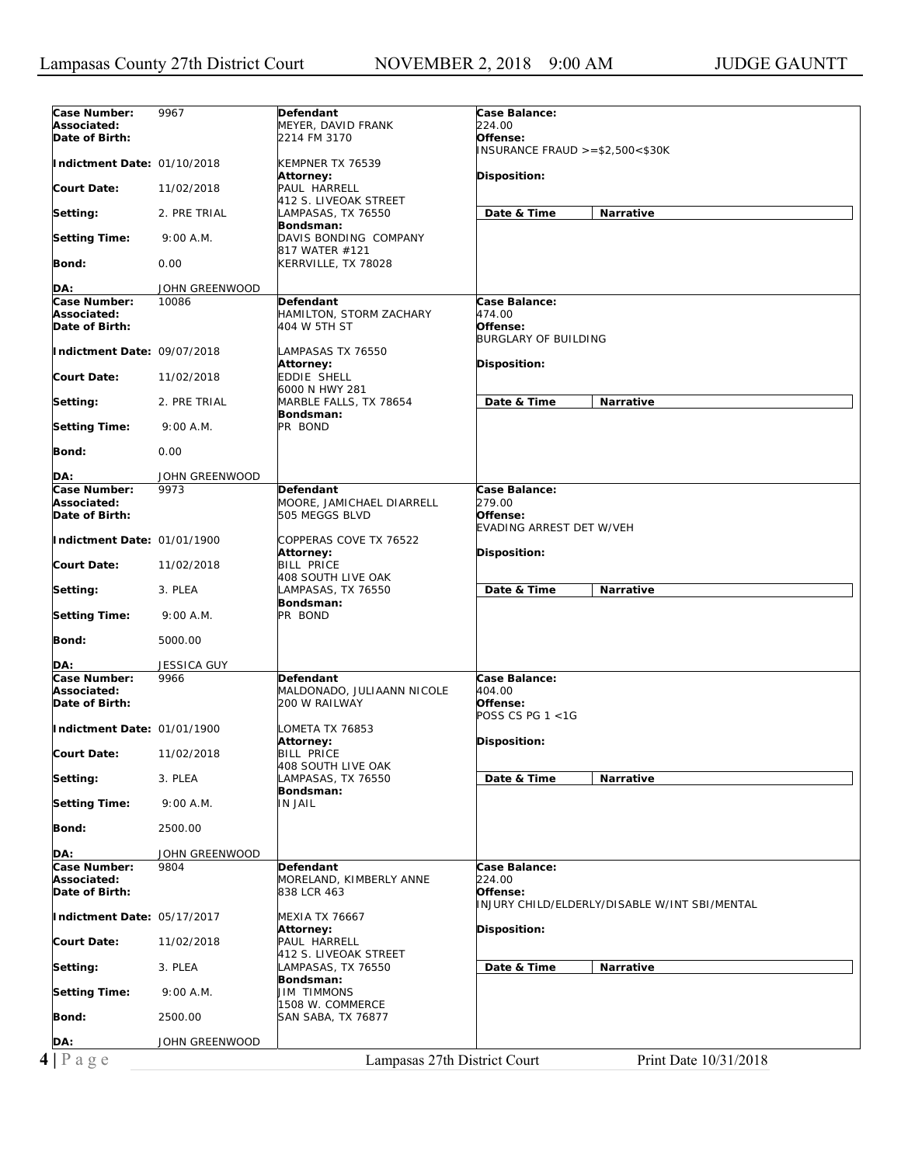| Case Number:<br>9967<br>Defendant<br><b>Case Balance:</b><br>224.00<br>Associated:<br>MEYER, DAVID FRANK<br>Date of Birth:<br>2214 FM 3170<br>Offense:<br>INSURANCE FRAUD $>= $2,500< $30K$<br>Indictment Date: 01/10/2018<br>KEMPNER TX 76539<br>Attorney:<br>Disposition:<br><b>Court Date:</b><br>11/02/2018<br>PAUL HARRELL<br>412 S. LIVEOAK STREET<br>Date & Time<br>Narrative<br>Setting:<br>2. PRE TRIAL<br>LAMPASAS, TX 76550<br>Bondsman:<br><b>Setting Time:</b><br>9:00 A.M.<br>DAVIS BONDING COMPANY<br>817 WATER #121<br>Bond:<br>0.00<br>KERRVILLE, TX 78028<br>DA:<br>JOHN GREENWOOD<br>Case Number:<br>10086<br>Case Balance:<br>Defendant<br>474.00<br>Associated:<br>HAMILTON, STORM ZACHARY<br>Date of Birth:<br>404 W 5TH ST<br>Offense:<br><b>BURGLARY OF BUILDING</b><br>Indictment Date: 09/07/2018<br>LAMPASAS TX 76550<br>Disposition:<br>Attorney:<br>EDDIE SHELL<br><b>Court Date:</b><br>11/02/2018<br>6000 N HWY 281<br>Date & Time<br>Narrative<br>Setting:<br>2. PRE TRIAL<br>MARBLE FALLS, TX 78654<br>Bondsman:<br><b>Setting Time:</b><br>PR BOND<br>9:00 A.M.<br>Bond:<br>0.00<br>DA:<br>JOHN GREENWOOD<br>Case Number:<br>Case Balance:<br>9973<br>Defendant<br>279.00<br>Associated:<br>MOORE, JAMICHAEL DIARRELL<br>Date of Birth:<br>505 MEGGS BLVD<br>Offense:<br><b>EVADING ARREST DET W/VEH</b><br>Indictment Date: 01/01/1900<br>COPPERAS COVE TX 76522<br>Disposition:<br>Attorney:<br><b>BILL PRICE</b><br><b>Court Date:</b><br>11/02/2018<br>408 SOUTH LIVE OAK<br>Date & Time<br>Setting:<br>3. PLEA<br>LAMPASAS, TX 76550<br>Narrative<br>Bondsman:<br>PR BOND<br><b>Setting Time:</b><br>9:00 A.M.<br>Bond:<br>5000.00<br>JESSICA GUY<br>DA:<br>Case Number:<br><b>Case Balance:</b><br>9966<br>Defendant<br>Associated:<br>404.00<br>MALDONADO, JULIAANN NICOLE<br>Date of Birth:<br>Offense:<br>200 W RAILWAY<br>POSS CS PG $1 < 1$ G<br>Indictment Date: 01/01/1900<br>LOMETA TX 76853<br>Attorney:<br>Disposition:<br><b>BILL PRICE</b><br><b>Court Date:</b><br>11/02/2018<br>408 SOUTH LIVE OAK<br>LAMPASAS, TX 76550<br>Date & Time<br>Setting:<br>3. PLEA<br>Narrative<br>Bondsman:<br><b>Setting Time:</b><br><b>IN JAIL</b><br>9:00 A.M.<br>Bond:<br>2500.00<br>DA:<br>JOHN GREENWOOD<br>Case Number:<br>Case Balance:<br>9804<br>Defendant<br>Associated:<br>MORELAND, KIMBERLY ANNE<br>224.00<br>Date of Birth:<br>838 LCR 463<br>Offense:<br>INJURY CHILD/ELDERLY/DISABLE W/INT SBI/MENTAL<br>Indictment Date: 05/17/2017<br><b>MEXIA TX 76667</b><br>Attorney:<br>Disposition:<br>PAUL HARRELL<br><b>Court Date:</b><br>11/02/2018<br>412 S. LIVEOAK STREET<br>Date & Time<br>Narrative<br>Setting:<br>3. PLEA<br>LAMPASAS, TX 76550<br>Bondsman:<br><b>Setting Time:</b><br>9:00 A.M.<br>JIM TIMMONS<br>1508 W. COMMERCE<br>Bond:<br>2500.00<br>SAN SABA, TX 76877<br>DA:<br>JOHN GREENWOOD<br>$4 P \text{ age}$<br>Lampasas 27th District Court<br>Print Date 10/31/2018 |  |  |
|---------------------------------------------------------------------------------------------------------------------------------------------------------------------------------------------------------------------------------------------------------------------------------------------------------------------------------------------------------------------------------------------------------------------------------------------------------------------------------------------------------------------------------------------------------------------------------------------------------------------------------------------------------------------------------------------------------------------------------------------------------------------------------------------------------------------------------------------------------------------------------------------------------------------------------------------------------------------------------------------------------------------------------------------------------------------------------------------------------------------------------------------------------------------------------------------------------------------------------------------------------------------------------------------------------------------------------------------------------------------------------------------------------------------------------------------------------------------------------------------------------------------------------------------------------------------------------------------------------------------------------------------------------------------------------------------------------------------------------------------------------------------------------------------------------------------------------------------------------------------------------------------------------------------------------------------------------------------------------------------------------------------------------------------------------------------------------------------------------------------------------------------------------------------------------------------------------------------------------------------------------------------------------------------------------------------------------------------------------------------------------------------------------------------------------------------------------------------------------------------------------------------------------------------------------------------------------------------------------------------------------------------------------------------------------------------------------------------------------------------------------------------------------------------------------------------------------------------------------------------------------------------------------------------------------------------|--|--|
|                                                                                                                                                                                                                                                                                                                                                                                                                                                                                                                                                                                                                                                                                                                                                                                                                                                                                                                                                                                                                                                                                                                                                                                                                                                                                                                                                                                                                                                                                                                                                                                                                                                                                                                                                                                                                                                                                                                                                                                                                                                                                                                                                                                                                                                                                                                                                                                                                                                                                                                                                                                                                                                                                                                                                                                                                                                                                                                                             |  |  |
|                                                                                                                                                                                                                                                                                                                                                                                                                                                                                                                                                                                                                                                                                                                                                                                                                                                                                                                                                                                                                                                                                                                                                                                                                                                                                                                                                                                                                                                                                                                                                                                                                                                                                                                                                                                                                                                                                                                                                                                                                                                                                                                                                                                                                                                                                                                                                                                                                                                                                                                                                                                                                                                                                                                                                                                                                                                                                                                                             |  |  |
|                                                                                                                                                                                                                                                                                                                                                                                                                                                                                                                                                                                                                                                                                                                                                                                                                                                                                                                                                                                                                                                                                                                                                                                                                                                                                                                                                                                                                                                                                                                                                                                                                                                                                                                                                                                                                                                                                                                                                                                                                                                                                                                                                                                                                                                                                                                                                                                                                                                                                                                                                                                                                                                                                                                                                                                                                                                                                                                                             |  |  |
|                                                                                                                                                                                                                                                                                                                                                                                                                                                                                                                                                                                                                                                                                                                                                                                                                                                                                                                                                                                                                                                                                                                                                                                                                                                                                                                                                                                                                                                                                                                                                                                                                                                                                                                                                                                                                                                                                                                                                                                                                                                                                                                                                                                                                                                                                                                                                                                                                                                                                                                                                                                                                                                                                                                                                                                                                                                                                                                                             |  |  |
|                                                                                                                                                                                                                                                                                                                                                                                                                                                                                                                                                                                                                                                                                                                                                                                                                                                                                                                                                                                                                                                                                                                                                                                                                                                                                                                                                                                                                                                                                                                                                                                                                                                                                                                                                                                                                                                                                                                                                                                                                                                                                                                                                                                                                                                                                                                                                                                                                                                                                                                                                                                                                                                                                                                                                                                                                                                                                                                                             |  |  |
|                                                                                                                                                                                                                                                                                                                                                                                                                                                                                                                                                                                                                                                                                                                                                                                                                                                                                                                                                                                                                                                                                                                                                                                                                                                                                                                                                                                                                                                                                                                                                                                                                                                                                                                                                                                                                                                                                                                                                                                                                                                                                                                                                                                                                                                                                                                                                                                                                                                                                                                                                                                                                                                                                                                                                                                                                                                                                                                                             |  |  |
|                                                                                                                                                                                                                                                                                                                                                                                                                                                                                                                                                                                                                                                                                                                                                                                                                                                                                                                                                                                                                                                                                                                                                                                                                                                                                                                                                                                                                                                                                                                                                                                                                                                                                                                                                                                                                                                                                                                                                                                                                                                                                                                                                                                                                                                                                                                                                                                                                                                                                                                                                                                                                                                                                                                                                                                                                                                                                                                                             |  |  |
|                                                                                                                                                                                                                                                                                                                                                                                                                                                                                                                                                                                                                                                                                                                                                                                                                                                                                                                                                                                                                                                                                                                                                                                                                                                                                                                                                                                                                                                                                                                                                                                                                                                                                                                                                                                                                                                                                                                                                                                                                                                                                                                                                                                                                                                                                                                                                                                                                                                                                                                                                                                                                                                                                                                                                                                                                                                                                                                                             |  |  |
|                                                                                                                                                                                                                                                                                                                                                                                                                                                                                                                                                                                                                                                                                                                                                                                                                                                                                                                                                                                                                                                                                                                                                                                                                                                                                                                                                                                                                                                                                                                                                                                                                                                                                                                                                                                                                                                                                                                                                                                                                                                                                                                                                                                                                                                                                                                                                                                                                                                                                                                                                                                                                                                                                                                                                                                                                                                                                                                                             |  |  |
|                                                                                                                                                                                                                                                                                                                                                                                                                                                                                                                                                                                                                                                                                                                                                                                                                                                                                                                                                                                                                                                                                                                                                                                                                                                                                                                                                                                                                                                                                                                                                                                                                                                                                                                                                                                                                                                                                                                                                                                                                                                                                                                                                                                                                                                                                                                                                                                                                                                                                                                                                                                                                                                                                                                                                                                                                                                                                                                                             |  |  |
|                                                                                                                                                                                                                                                                                                                                                                                                                                                                                                                                                                                                                                                                                                                                                                                                                                                                                                                                                                                                                                                                                                                                                                                                                                                                                                                                                                                                                                                                                                                                                                                                                                                                                                                                                                                                                                                                                                                                                                                                                                                                                                                                                                                                                                                                                                                                                                                                                                                                                                                                                                                                                                                                                                                                                                                                                                                                                                                                             |  |  |
|                                                                                                                                                                                                                                                                                                                                                                                                                                                                                                                                                                                                                                                                                                                                                                                                                                                                                                                                                                                                                                                                                                                                                                                                                                                                                                                                                                                                                                                                                                                                                                                                                                                                                                                                                                                                                                                                                                                                                                                                                                                                                                                                                                                                                                                                                                                                                                                                                                                                                                                                                                                                                                                                                                                                                                                                                                                                                                                                             |  |  |
|                                                                                                                                                                                                                                                                                                                                                                                                                                                                                                                                                                                                                                                                                                                                                                                                                                                                                                                                                                                                                                                                                                                                                                                                                                                                                                                                                                                                                                                                                                                                                                                                                                                                                                                                                                                                                                                                                                                                                                                                                                                                                                                                                                                                                                                                                                                                                                                                                                                                                                                                                                                                                                                                                                                                                                                                                                                                                                                                             |  |  |
|                                                                                                                                                                                                                                                                                                                                                                                                                                                                                                                                                                                                                                                                                                                                                                                                                                                                                                                                                                                                                                                                                                                                                                                                                                                                                                                                                                                                                                                                                                                                                                                                                                                                                                                                                                                                                                                                                                                                                                                                                                                                                                                                                                                                                                                                                                                                                                                                                                                                                                                                                                                                                                                                                                                                                                                                                                                                                                                                             |  |  |
|                                                                                                                                                                                                                                                                                                                                                                                                                                                                                                                                                                                                                                                                                                                                                                                                                                                                                                                                                                                                                                                                                                                                                                                                                                                                                                                                                                                                                                                                                                                                                                                                                                                                                                                                                                                                                                                                                                                                                                                                                                                                                                                                                                                                                                                                                                                                                                                                                                                                                                                                                                                                                                                                                                                                                                                                                                                                                                                                             |  |  |
|                                                                                                                                                                                                                                                                                                                                                                                                                                                                                                                                                                                                                                                                                                                                                                                                                                                                                                                                                                                                                                                                                                                                                                                                                                                                                                                                                                                                                                                                                                                                                                                                                                                                                                                                                                                                                                                                                                                                                                                                                                                                                                                                                                                                                                                                                                                                                                                                                                                                                                                                                                                                                                                                                                                                                                                                                                                                                                                                             |  |  |
|                                                                                                                                                                                                                                                                                                                                                                                                                                                                                                                                                                                                                                                                                                                                                                                                                                                                                                                                                                                                                                                                                                                                                                                                                                                                                                                                                                                                                                                                                                                                                                                                                                                                                                                                                                                                                                                                                                                                                                                                                                                                                                                                                                                                                                                                                                                                                                                                                                                                                                                                                                                                                                                                                                                                                                                                                                                                                                                                             |  |  |
|                                                                                                                                                                                                                                                                                                                                                                                                                                                                                                                                                                                                                                                                                                                                                                                                                                                                                                                                                                                                                                                                                                                                                                                                                                                                                                                                                                                                                                                                                                                                                                                                                                                                                                                                                                                                                                                                                                                                                                                                                                                                                                                                                                                                                                                                                                                                                                                                                                                                                                                                                                                                                                                                                                                                                                                                                                                                                                                                             |  |  |
|                                                                                                                                                                                                                                                                                                                                                                                                                                                                                                                                                                                                                                                                                                                                                                                                                                                                                                                                                                                                                                                                                                                                                                                                                                                                                                                                                                                                                                                                                                                                                                                                                                                                                                                                                                                                                                                                                                                                                                                                                                                                                                                                                                                                                                                                                                                                                                                                                                                                                                                                                                                                                                                                                                                                                                                                                                                                                                                                             |  |  |
|                                                                                                                                                                                                                                                                                                                                                                                                                                                                                                                                                                                                                                                                                                                                                                                                                                                                                                                                                                                                                                                                                                                                                                                                                                                                                                                                                                                                                                                                                                                                                                                                                                                                                                                                                                                                                                                                                                                                                                                                                                                                                                                                                                                                                                                                                                                                                                                                                                                                                                                                                                                                                                                                                                                                                                                                                                                                                                                                             |  |  |
|                                                                                                                                                                                                                                                                                                                                                                                                                                                                                                                                                                                                                                                                                                                                                                                                                                                                                                                                                                                                                                                                                                                                                                                                                                                                                                                                                                                                                                                                                                                                                                                                                                                                                                                                                                                                                                                                                                                                                                                                                                                                                                                                                                                                                                                                                                                                                                                                                                                                                                                                                                                                                                                                                                                                                                                                                                                                                                                                             |  |  |
|                                                                                                                                                                                                                                                                                                                                                                                                                                                                                                                                                                                                                                                                                                                                                                                                                                                                                                                                                                                                                                                                                                                                                                                                                                                                                                                                                                                                                                                                                                                                                                                                                                                                                                                                                                                                                                                                                                                                                                                                                                                                                                                                                                                                                                                                                                                                                                                                                                                                                                                                                                                                                                                                                                                                                                                                                                                                                                                                             |  |  |
|                                                                                                                                                                                                                                                                                                                                                                                                                                                                                                                                                                                                                                                                                                                                                                                                                                                                                                                                                                                                                                                                                                                                                                                                                                                                                                                                                                                                                                                                                                                                                                                                                                                                                                                                                                                                                                                                                                                                                                                                                                                                                                                                                                                                                                                                                                                                                                                                                                                                                                                                                                                                                                                                                                                                                                                                                                                                                                                                             |  |  |
|                                                                                                                                                                                                                                                                                                                                                                                                                                                                                                                                                                                                                                                                                                                                                                                                                                                                                                                                                                                                                                                                                                                                                                                                                                                                                                                                                                                                                                                                                                                                                                                                                                                                                                                                                                                                                                                                                                                                                                                                                                                                                                                                                                                                                                                                                                                                                                                                                                                                                                                                                                                                                                                                                                                                                                                                                                                                                                                                             |  |  |
|                                                                                                                                                                                                                                                                                                                                                                                                                                                                                                                                                                                                                                                                                                                                                                                                                                                                                                                                                                                                                                                                                                                                                                                                                                                                                                                                                                                                                                                                                                                                                                                                                                                                                                                                                                                                                                                                                                                                                                                                                                                                                                                                                                                                                                                                                                                                                                                                                                                                                                                                                                                                                                                                                                                                                                                                                                                                                                                                             |  |  |
|                                                                                                                                                                                                                                                                                                                                                                                                                                                                                                                                                                                                                                                                                                                                                                                                                                                                                                                                                                                                                                                                                                                                                                                                                                                                                                                                                                                                                                                                                                                                                                                                                                                                                                                                                                                                                                                                                                                                                                                                                                                                                                                                                                                                                                                                                                                                                                                                                                                                                                                                                                                                                                                                                                                                                                                                                                                                                                                                             |  |  |
|                                                                                                                                                                                                                                                                                                                                                                                                                                                                                                                                                                                                                                                                                                                                                                                                                                                                                                                                                                                                                                                                                                                                                                                                                                                                                                                                                                                                                                                                                                                                                                                                                                                                                                                                                                                                                                                                                                                                                                                                                                                                                                                                                                                                                                                                                                                                                                                                                                                                                                                                                                                                                                                                                                                                                                                                                                                                                                                                             |  |  |
|                                                                                                                                                                                                                                                                                                                                                                                                                                                                                                                                                                                                                                                                                                                                                                                                                                                                                                                                                                                                                                                                                                                                                                                                                                                                                                                                                                                                                                                                                                                                                                                                                                                                                                                                                                                                                                                                                                                                                                                                                                                                                                                                                                                                                                                                                                                                                                                                                                                                                                                                                                                                                                                                                                                                                                                                                                                                                                                                             |  |  |
|                                                                                                                                                                                                                                                                                                                                                                                                                                                                                                                                                                                                                                                                                                                                                                                                                                                                                                                                                                                                                                                                                                                                                                                                                                                                                                                                                                                                                                                                                                                                                                                                                                                                                                                                                                                                                                                                                                                                                                                                                                                                                                                                                                                                                                                                                                                                                                                                                                                                                                                                                                                                                                                                                                                                                                                                                                                                                                                                             |  |  |
|                                                                                                                                                                                                                                                                                                                                                                                                                                                                                                                                                                                                                                                                                                                                                                                                                                                                                                                                                                                                                                                                                                                                                                                                                                                                                                                                                                                                                                                                                                                                                                                                                                                                                                                                                                                                                                                                                                                                                                                                                                                                                                                                                                                                                                                                                                                                                                                                                                                                                                                                                                                                                                                                                                                                                                                                                                                                                                                                             |  |  |
|                                                                                                                                                                                                                                                                                                                                                                                                                                                                                                                                                                                                                                                                                                                                                                                                                                                                                                                                                                                                                                                                                                                                                                                                                                                                                                                                                                                                                                                                                                                                                                                                                                                                                                                                                                                                                                                                                                                                                                                                                                                                                                                                                                                                                                                                                                                                                                                                                                                                                                                                                                                                                                                                                                                                                                                                                                                                                                                                             |  |  |
|                                                                                                                                                                                                                                                                                                                                                                                                                                                                                                                                                                                                                                                                                                                                                                                                                                                                                                                                                                                                                                                                                                                                                                                                                                                                                                                                                                                                                                                                                                                                                                                                                                                                                                                                                                                                                                                                                                                                                                                                                                                                                                                                                                                                                                                                                                                                                                                                                                                                                                                                                                                                                                                                                                                                                                                                                                                                                                                                             |  |  |
|                                                                                                                                                                                                                                                                                                                                                                                                                                                                                                                                                                                                                                                                                                                                                                                                                                                                                                                                                                                                                                                                                                                                                                                                                                                                                                                                                                                                                                                                                                                                                                                                                                                                                                                                                                                                                                                                                                                                                                                                                                                                                                                                                                                                                                                                                                                                                                                                                                                                                                                                                                                                                                                                                                                                                                                                                                                                                                                                             |  |  |
|                                                                                                                                                                                                                                                                                                                                                                                                                                                                                                                                                                                                                                                                                                                                                                                                                                                                                                                                                                                                                                                                                                                                                                                                                                                                                                                                                                                                                                                                                                                                                                                                                                                                                                                                                                                                                                                                                                                                                                                                                                                                                                                                                                                                                                                                                                                                                                                                                                                                                                                                                                                                                                                                                                                                                                                                                                                                                                                                             |  |  |
|                                                                                                                                                                                                                                                                                                                                                                                                                                                                                                                                                                                                                                                                                                                                                                                                                                                                                                                                                                                                                                                                                                                                                                                                                                                                                                                                                                                                                                                                                                                                                                                                                                                                                                                                                                                                                                                                                                                                                                                                                                                                                                                                                                                                                                                                                                                                                                                                                                                                                                                                                                                                                                                                                                                                                                                                                                                                                                                                             |  |  |
|                                                                                                                                                                                                                                                                                                                                                                                                                                                                                                                                                                                                                                                                                                                                                                                                                                                                                                                                                                                                                                                                                                                                                                                                                                                                                                                                                                                                                                                                                                                                                                                                                                                                                                                                                                                                                                                                                                                                                                                                                                                                                                                                                                                                                                                                                                                                                                                                                                                                                                                                                                                                                                                                                                                                                                                                                                                                                                                                             |  |  |
|                                                                                                                                                                                                                                                                                                                                                                                                                                                                                                                                                                                                                                                                                                                                                                                                                                                                                                                                                                                                                                                                                                                                                                                                                                                                                                                                                                                                                                                                                                                                                                                                                                                                                                                                                                                                                                                                                                                                                                                                                                                                                                                                                                                                                                                                                                                                                                                                                                                                                                                                                                                                                                                                                                                                                                                                                                                                                                                                             |  |  |
|                                                                                                                                                                                                                                                                                                                                                                                                                                                                                                                                                                                                                                                                                                                                                                                                                                                                                                                                                                                                                                                                                                                                                                                                                                                                                                                                                                                                                                                                                                                                                                                                                                                                                                                                                                                                                                                                                                                                                                                                                                                                                                                                                                                                                                                                                                                                                                                                                                                                                                                                                                                                                                                                                                                                                                                                                                                                                                                                             |  |  |
|                                                                                                                                                                                                                                                                                                                                                                                                                                                                                                                                                                                                                                                                                                                                                                                                                                                                                                                                                                                                                                                                                                                                                                                                                                                                                                                                                                                                                                                                                                                                                                                                                                                                                                                                                                                                                                                                                                                                                                                                                                                                                                                                                                                                                                                                                                                                                                                                                                                                                                                                                                                                                                                                                                                                                                                                                                                                                                                                             |  |  |
|                                                                                                                                                                                                                                                                                                                                                                                                                                                                                                                                                                                                                                                                                                                                                                                                                                                                                                                                                                                                                                                                                                                                                                                                                                                                                                                                                                                                                                                                                                                                                                                                                                                                                                                                                                                                                                                                                                                                                                                                                                                                                                                                                                                                                                                                                                                                                                                                                                                                                                                                                                                                                                                                                                                                                                                                                                                                                                                                             |  |  |
|                                                                                                                                                                                                                                                                                                                                                                                                                                                                                                                                                                                                                                                                                                                                                                                                                                                                                                                                                                                                                                                                                                                                                                                                                                                                                                                                                                                                                                                                                                                                                                                                                                                                                                                                                                                                                                                                                                                                                                                                                                                                                                                                                                                                                                                                                                                                                                                                                                                                                                                                                                                                                                                                                                                                                                                                                                                                                                                                             |  |  |
|                                                                                                                                                                                                                                                                                                                                                                                                                                                                                                                                                                                                                                                                                                                                                                                                                                                                                                                                                                                                                                                                                                                                                                                                                                                                                                                                                                                                                                                                                                                                                                                                                                                                                                                                                                                                                                                                                                                                                                                                                                                                                                                                                                                                                                                                                                                                                                                                                                                                                                                                                                                                                                                                                                                                                                                                                                                                                                                                             |  |  |
|                                                                                                                                                                                                                                                                                                                                                                                                                                                                                                                                                                                                                                                                                                                                                                                                                                                                                                                                                                                                                                                                                                                                                                                                                                                                                                                                                                                                                                                                                                                                                                                                                                                                                                                                                                                                                                                                                                                                                                                                                                                                                                                                                                                                                                                                                                                                                                                                                                                                                                                                                                                                                                                                                                                                                                                                                                                                                                                                             |  |  |
|                                                                                                                                                                                                                                                                                                                                                                                                                                                                                                                                                                                                                                                                                                                                                                                                                                                                                                                                                                                                                                                                                                                                                                                                                                                                                                                                                                                                                                                                                                                                                                                                                                                                                                                                                                                                                                                                                                                                                                                                                                                                                                                                                                                                                                                                                                                                                                                                                                                                                                                                                                                                                                                                                                                                                                                                                                                                                                                                             |  |  |
|                                                                                                                                                                                                                                                                                                                                                                                                                                                                                                                                                                                                                                                                                                                                                                                                                                                                                                                                                                                                                                                                                                                                                                                                                                                                                                                                                                                                                                                                                                                                                                                                                                                                                                                                                                                                                                                                                                                                                                                                                                                                                                                                                                                                                                                                                                                                                                                                                                                                                                                                                                                                                                                                                                                                                                                                                                                                                                                                             |  |  |
|                                                                                                                                                                                                                                                                                                                                                                                                                                                                                                                                                                                                                                                                                                                                                                                                                                                                                                                                                                                                                                                                                                                                                                                                                                                                                                                                                                                                                                                                                                                                                                                                                                                                                                                                                                                                                                                                                                                                                                                                                                                                                                                                                                                                                                                                                                                                                                                                                                                                                                                                                                                                                                                                                                                                                                                                                                                                                                                                             |  |  |
|                                                                                                                                                                                                                                                                                                                                                                                                                                                                                                                                                                                                                                                                                                                                                                                                                                                                                                                                                                                                                                                                                                                                                                                                                                                                                                                                                                                                                                                                                                                                                                                                                                                                                                                                                                                                                                                                                                                                                                                                                                                                                                                                                                                                                                                                                                                                                                                                                                                                                                                                                                                                                                                                                                                                                                                                                                                                                                                                             |  |  |
|                                                                                                                                                                                                                                                                                                                                                                                                                                                                                                                                                                                                                                                                                                                                                                                                                                                                                                                                                                                                                                                                                                                                                                                                                                                                                                                                                                                                                                                                                                                                                                                                                                                                                                                                                                                                                                                                                                                                                                                                                                                                                                                                                                                                                                                                                                                                                                                                                                                                                                                                                                                                                                                                                                                                                                                                                                                                                                                                             |  |  |
|                                                                                                                                                                                                                                                                                                                                                                                                                                                                                                                                                                                                                                                                                                                                                                                                                                                                                                                                                                                                                                                                                                                                                                                                                                                                                                                                                                                                                                                                                                                                                                                                                                                                                                                                                                                                                                                                                                                                                                                                                                                                                                                                                                                                                                                                                                                                                                                                                                                                                                                                                                                                                                                                                                                                                                                                                                                                                                                                             |  |  |
|                                                                                                                                                                                                                                                                                                                                                                                                                                                                                                                                                                                                                                                                                                                                                                                                                                                                                                                                                                                                                                                                                                                                                                                                                                                                                                                                                                                                                                                                                                                                                                                                                                                                                                                                                                                                                                                                                                                                                                                                                                                                                                                                                                                                                                                                                                                                                                                                                                                                                                                                                                                                                                                                                                                                                                                                                                                                                                                                             |  |  |
|                                                                                                                                                                                                                                                                                                                                                                                                                                                                                                                                                                                                                                                                                                                                                                                                                                                                                                                                                                                                                                                                                                                                                                                                                                                                                                                                                                                                                                                                                                                                                                                                                                                                                                                                                                                                                                                                                                                                                                                                                                                                                                                                                                                                                                                                                                                                                                                                                                                                                                                                                                                                                                                                                                                                                                                                                                                                                                                                             |  |  |
|                                                                                                                                                                                                                                                                                                                                                                                                                                                                                                                                                                                                                                                                                                                                                                                                                                                                                                                                                                                                                                                                                                                                                                                                                                                                                                                                                                                                                                                                                                                                                                                                                                                                                                                                                                                                                                                                                                                                                                                                                                                                                                                                                                                                                                                                                                                                                                                                                                                                                                                                                                                                                                                                                                                                                                                                                                                                                                                                             |  |  |
|                                                                                                                                                                                                                                                                                                                                                                                                                                                                                                                                                                                                                                                                                                                                                                                                                                                                                                                                                                                                                                                                                                                                                                                                                                                                                                                                                                                                                                                                                                                                                                                                                                                                                                                                                                                                                                                                                                                                                                                                                                                                                                                                                                                                                                                                                                                                                                                                                                                                                                                                                                                                                                                                                                                                                                                                                                                                                                                                             |  |  |
|                                                                                                                                                                                                                                                                                                                                                                                                                                                                                                                                                                                                                                                                                                                                                                                                                                                                                                                                                                                                                                                                                                                                                                                                                                                                                                                                                                                                                                                                                                                                                                                                                                                                                                                                                                                                                                                                                                                                                                                                                                                                                                                                                                                                                                                                                                                                                                                                                                                                                                                                                                                                                                                                                                                                                                                                                                                                                                                                             |  |  |
|                                                                                                                                                                                                                                                                                                                                                                                                                                                                                                                                                                                                                                                                                                                                                                                                                                                                                                                                                                                                                                                                                                                                                                                                                                                                                                                                                                                                                                                                                                                                                                                                                                                                                                                                                                                                                                                                                                                                                                                                                                                                                                                                                                                                                                                                                                                                                                                                                                                                                                                                                                                                                                                                                                                                                                                                                                                                                                                                             |  |  |
|                                                                                                                                                                                                                                                                                                                                                                                                                                                                                                                                                                                                                                                                                                                                                                                                                                                                                                                                                                                                                                                                                                                                                                                                                                                                                                                                                                                                                                                                                                                                                                                                                                                                                                                                                                                                                                                                                                                                                                                                                                                                                                                                                                                                                                                                                                                                                                                                                                                                                                                                                                                                                                                                                                                                                                                                                                                                                                                                             |  |  |
|                                                                                                                                                                                                                                                                                                                                                                                                                                                                                                                                                                                                                                                                                                                                                                                                                                                                                                                                                                                                                                                                                                                                                                                                                                                                                                                                                                                                                                                                                                                                                                                                                                                                                                                                                                                                                                                                                                                                                                                                                                                                                                                                                                                                                                                                                                                                                                                                                                                                                                                                                                                                                                                                                                                                                                                                                                                                                                                                             |  |  |
|                                                                                                                                                                                                                                                                                                                                                                                                                                                                                                                                                                                                                                                                                                                                                                                                                                                                                                                                                                                                                                                                                                                                                                                                                                                                                                                                                                                                                                                                                                                                                                                                                                                                                                                                                                                                                                                                                                                                                                                                                                                                                                                                                                                                                                                                                                                                                                                                                                                                                                                                                                                                                                                                                                                                                                                                                                                                                                                                             |  |  |
|                                                                                                                                                                                                                                                                                                                                                                                                                                                                                                                                                                                                                                                                                                                                                                                                                                                                                                                                                                                                                                                                                                                                                                                                                                                                                                                                                                                                                                                                                                                                                                                                                                                                                                                                                                                                                                                                                                                                                                                                                                                                                                                                                                                                                                                                                                                                                                                                                                                                                                                                                                                                                                                                                                                                                                                                                                                                                                                                             |  |  |
|                                                                                                                                                                                                                                                                                                                                                                                                                                                                                                                                                                                                                                                                                                                                                                                                                                                                                                                                                                                                                                                                                                                                                                                                                                                                                                                                                                                                                                                                                                                                                                                                                                                                                                                                                                                                                                                                                                                                                                                                                                                                                                                                                                                                                                                                                                                                                                                                                                                                                                                                                                                                                                                                                                                                                                                                                                                                                                                                             |  |  |
|                                                                                                                                                                                                                                                                                                                                                                                                                                                                                                                                                                                                                                                                                                                                                                                                                                                                                                                                                                                                                                                                                                                                                                                                                                                                                                                                                                                                                                                                                                                                                                                                                                                                                                                                                                                                                                                                                                                                                                                                                                                                                                                                                                                                                                                                                                                                                                                                                                                                                                                                                                                                                                                                                                                                                                                                                                                                                                                                             |  |  |
|                                                                                                                                                                                                                                                                                                                                                                                                                                                                                                                                                                                                                                                                                                                                                                                                                                                                                                                                                                                                                                                                                                                                                                                                                                                                                                                                                                                                                                                                                                                                                                                                                                                                                                                                                                                                                                                                                                                                                                                                                                                                                                                                                                                                                                                                                                                                                                                                                                                                                                                                                                                                                                                                                                                                                                                                                                                                                                                                             |  |  |
|                                                                                                                                                                                                                                                                                                                                                                                                                                                                                                                                                                                                                                                                                                                                                                                                                                                                                                                                                                                                                                                                                                                                                                                                                                                                                                                                                                                                                                                                                                                                                                                                                                                                                                                                                                                                                                                                                                                                                                                                                                                                                                                                                                                                                                                                                                                                                                                                                                                                                                                                                                                                                                                                                                                                                                                                                                                                                                                                             |  |  |
|                                                                                                                                                                                                                                                                                                                                                                                                                                                                                                                                                                                                                                                                                                                                                                                                                                                                                                                                                                                                                                                                                                                                                                                                                                                                                                                                                                                                                                                                                                                                                                                                                                                                                                                                                                                                                                                                                                                                                                                                                                                                                                                                                                                                                                                                                                                                                                                                                                                                                                                                                                                                                                                                                                                                                                                                                                                                                                                                             |  |  |
|                                                                                                                                                                                                                                                                                                                                                                                                                                                                                                                                                                                                                                                                                                                                                                                                                                                                                                                                                                                                                                                                                                                                                                                                                                                                                                                                                                                                                                                                                                                                                                                                                                                                                                                                                                                                                                                                                                                                                                                                                                                                                                                                                                                                                                                                                                                                                                                                                                                                                                                                                                                                                                                                                                                                                                                                                                                                                                                                             |  |  |
|                                                                                                                                                                                                                                                                                                                                                                                                                                                                                                                                                                                                                                                                                                                                                                                                                                                                                                                                                                                                                                                                                                                                                                                                                                                                                                                                                                                                                                                                                                                                                                                                                                                                                                                                                                                                                                                                                                                                                                                                                                                                                                                                                                                                                                                                                                                                                                                                                                                                                                                                                                                                                                                                                                                                                                                                                                                                                                                                             |  |  |
|                                                                                                                                                                                                                                                                                                                                                                                                                                                                                                                                                                                                                                                                                                                                                                                                                                                                                                                                                                                                                                                                                                                                                                                                                                                                                                                                                                                                                                                                                                                                                                                                                                                                                                                                                                                                                                                                                                                                                                                                                                                                                                                                                                                                                                                                                                                                                                                                                                                                                                                                                                                                                                                                                                                                                                                                                                                                                                                                             |  |  |
|                                                                                                                                                                                                                                                                                                                                                                                                                                                                                                                                                                                                                                                                                                                                                                                                                                                                                                                                                                                                                                                                                                                                                                                                                                                                                                                                                                                                                                                                                                                                                                                                                                                                                                                                                                                                                                                                                                                                                                                                                                                                                                                                                                                                                                                                                                                                                                                                                                                                                                                                                                                                                                                                                                                                                                                                                                                                                                                                             |  |  |
|                                                                                                                                                                                                                                                                                                                                                                                                                                                                                                                                                                                                                                                                                                                                                                                                                                                                                                                                                                                                                                                                                                                                                                                                                                                                                                                                                                                                                                                                                                                                                                                                                                                                                                                                                                                                                                                                                                                                                                                                                                                                                                                                                                                                                                                                                                                                                                                                                                                                                                                                                                                                                                                                                                                                                                                                                                                                                                                                             |  |  |
|                                                                                                                                                                                                                                                                                                                                                                                                                                                                                                                                                                                                                                                                                                                                                                                                                                                                                                                                                                                                                                                                                                                                                                                                                                                                                                                                                                                                                                                                                                                                                                                                                                                                                                                                                                                                                                                                                                                                                                                                                                                                                                                                                                                                                                                                                                                                                                                                                                                                                                                                                                                                                                                                                                                                                                                                                                                                                                                                             |  |  |
|                                                                                                                                                                                                                                                                                                                                                                                                                                                                                                                                                                                                                                                                                                                                                                                                                                                                                                                                                                                                                                                                                                                                                                                                                                                                                                                                                                                                                                                                                                                                                                                                                                                                                                                                                                                                                                                                                                                                                                                                                                                                                                                                                                                                                                                                                                                                                                                                                                                                                                                                                                                                                                                                                                                                                                                                                                                                                                                                             |  |  |
|                                                                                                                                                                                                                                                                                                                                                                                                                                                                                                                                                                                                                                                                                                                                                                                                                                                                                                                                                                                                                                                                                                                                                                                                                                                                                                                                                                                                                                                                                                                                                                                                                                                                                                                                                                                                                                                                                                                                                                                                                                                                                                                                                                                                                                                                                                                                                                                                                                                                                                                                                                                                                                                                                                                                                                                                                                                                                                                                             |  |  |
|                                                                                                                                                                                                                                                                                                                                                                                                                                                                                                                                                                                                                                                                                                                                                                                                                                                                                                                                                                                                                                                                                                                                                                                                                                                                                                                                                                                                                                                                                                                                                                                                                                                                                                                                                                                                                                                                                                                                                                                                                                                                                                                                                                                                                                                                                                                                                                                                                                                                                                                                                                                                                                                                                                                                                                                                                                                                                                                                             |  |  |
|                                                                                                                                                                                                                                                                                                                                                                                                                                                                                                                                                                                                                                                                                                                                                                                                                                                                                                                                                                                                                                                                                                                                                                                                                                                                                                                                                                                                                                                                                                                                                                                                                                                                                                                                                                                                                                                                                                                                                                                                                                                                                                                                                                                                                                                                                                                                                                                                                                                                                                                                                                                                                                                                                                                                                                                                                                                                                                                                             |  |  |
|                                                                                                                                                                                                                                                                                                                                                                                                                                                                                                                                                                                                                                                                                                                                                                                                                                                                                                                                                                                                                                                                                                                                                                                                                                                                                                                                                                                                                                                                                                                                                                                                                                                                                                                                                                                                                                                                                                                                                                                                                                                                                                                                                                                                                                                                                                                                                                                                                                                                                                                                                                                                                                                                                                                                                                                                                                                                                                                                             |  |  |
|                                                                                                                                                                                                                                                                                                                                                                                                                                                                                                                                                                                                                                                                                                                                                                                                                                                                                                                                                                                                                                                                                                                                                                                                                                                                                                                                                                                                                                                                                                                                                                                                                                                                                                                                                                                                                                                                                                                                                                                                                                                                                                                                                                                                                                                                                                                                                                                                                                                                                                                                                                                                                                                                                                                                                                                                                                                                                                                                             |  |  |
|                                                                                                                                                                                                                                                                                                                                                                                                                                                                                                                                                                                                                                                                                                                                                                                                                                                                                                                                                                                                                                                                                                                                                                                                                                                                                                                                                                                                                                                                                                                                                                                                                                                                                                                                                                                                                                                                                                                                                                                                                                                                                                                                                                                                                                                                                                                                                                                                                                                                                                                                                                                                                                                                                                                                                                                                                                                                                                                                             |  |  |
|                                                                                                                                                                                                                                                                                                                                                                                                                                                                                                                                                                                                                                                                                                                                                                                                                                                                                                                                                                                                                                                                                                                                                                                                                                                                                                                                                                                                                                                                                                                                                                                                                                                                                                                                                                                                                                                                                                                                                                                                                                                                                                                                                                                                                                                                                                                                                                                                                                                                                                                                                                                                                                                                                                                                                                                                                                                                                                                                             |  |  |
|                                                                                                                                                                                                                                                                                                                                                                                                                                                                                                                                                                                                                                                                                                                                                                                                                                                                                                                                                                                                                                                                                                                                                                                                                                                                                                                                                                                                                                                                                                                                                                                                                                                                                                                                                                                                                                                                                                                                                                                                                                                                                                                                                                                                                                                                                                                                                                                                                                                                                                                                                                                                                                                                                                                                                                                                                                                                                                                                             |  |  |
|                                                                                                                                                                                                                                                                                                                                                                                                                                                                                                                                                                                                                                                                                                                                                                                                                                                                                                                                                                                                                                                                                                                                                                                                                                                                                                                                                                                                                                                                                                                                                                                                                                                                                                                                                                                                                                                                                                                                                                                                                                                                                                                                                                                                                                                                                                                                                                                                                                                                                                                                                                                                                                                                                                                                                                                                                                                                                                                                             |  |  |
|                                                                                                                                                                                                                                                                                                                                                                                                                                                                                                                                                                                                                                                                                                                                                                                                                                                                                                                                                                                                                                                                                                                                                                                                                                                                                                                                                                                                                                                                                                                                                                                                                                                                                                                                                                                                                                                                                                                                                                                                                                                                                                                                                                                                                                                                                                                                                                                                                                                                                                                                                                                                                                                                                                                                                                                                                                                                                                                                             |  |  |
|                                                                                                                                                                                                                                                                                                                                                                                                                                                                                                                                                                                                                                                                                                                                                                                                                                                                                                                                                                                                                                                                                                                                                                                                                                                                                                                                                                                                                                                                                                                                                                                                                                                                                                                                                                                                                                                                                                                                                                                                                                                                                                                                                                                                                                                                                                                                                                                                                                                                                                                                                                                                                                                                                                                                                                                                                                                                                                                                             |  |  |
|                                                                                                                                                                                                                                                                                                                                                                                                                                                                                                                                                                                                                                                                                                                                                                                                                                                                                                                                                                                                                                                                                                                                                                                                                                                                                                                                                                                                                                                                                                                                                                                                                                                                                                                                                                                                                                                                                                                                                                                                                                                                                                                                                                                                                                                                                                                                                                                                                                                                                                                                                                                                                                                                                                                                                                                                                                                                                                                                             |  |  |
|                                                                                                                                                                                                                                                                                                                                                                                                                                                                                                                                                                                                                                                                                                                                                                                                                                                                                                                                                                                                                                                                                                                                                                                                                                                                                                                                                                                                                                                                                                                                                                                                                                                                                                                                                                                                                                                                                                                                                                                                                                                                                                                                                                                                                                                                                                                                                                                                                                                                                                                                                                                                                                                                                                                                                                                                                                                                                                                                             |  |  |
|                                                                                                                                                                                                                                                                                                                                                                                                                                                                                                                                                                                                                                                                                                                                                                                                                                                                                                                                                                                                                                                                                                                                                                                                                                                                                                                                                                                                                                                                                                                                                                                                                                                                                                                                                                                                                                                                                                                                                                                                                                                                                                                                                                                                                                                                                                                                                                                                                                                                                                                                                                                                                                                                                                                                                                                                                                                                                                                                             |  |  |
|                                                                                                                                                                                                                                                                                                                                                                                                                                                                                                                                                                                                                                                                                                                                                                                                                                                                                                                                                                                                                                                                                                                                                                                                                                                                                                                                                                                                                                                                                                                                                                                                                                                                                                                                                                                                                                                                                                                                                                                                                                                                                                                                                                                                                                                                                                                                                                                                                                                                                                                                                                                                                                                                                                                                                                                                                                                                                                                                             |  |  |
|                                                                                                                                                                                                                                                                                                                                                                                                                                                                                                                                                                                                                                                                                                                                                                                                                                                                                                                                                                                                                                                                                                                                                                                                                                                                                                                                                                                                                                                                                                                                                                                                                                                                                                                                                                                                                                                                                                                                                                                                                                                                                                                                                                                                                                                                                                                                                                                                                                                                                                                                                                                                                                                                                                                                                                                                                                                                                                                                             |  |  |
|                                                                                                                                                                                                                                                                                                                                                                                                                                                                                                                                                                                                                                                                                                                                                                                                                                                                                                                                                                                                                                                                                                                                                                                                                                                                                                                                                                                                                                                                                                                                                                                                                                                                                                                                                                                                                                                                                                                                                                                                                                                                                                                                                                                                                                                                                                                                                                                                                                                                                                                                                                                                                                                                                                                                                                                                                                                                                                                                             |  |  |
|                                                                                                                                                                                                                                                                                                                                                                                                                                                                                                                                                                                                                                                                                                                                                                                                                                                                                                                                                                                                                                                                                                                                                                                                                                                                                                                                                                                                                                                                                                                                                                                                                                                                                                                                                                                                                                                                                                                                                                                                                                                                                                                                                                                                                                                                                                                                                                                                                                                                                                                                                                                                                                                                                                                                                                                                                                                                                                                                             |  |  |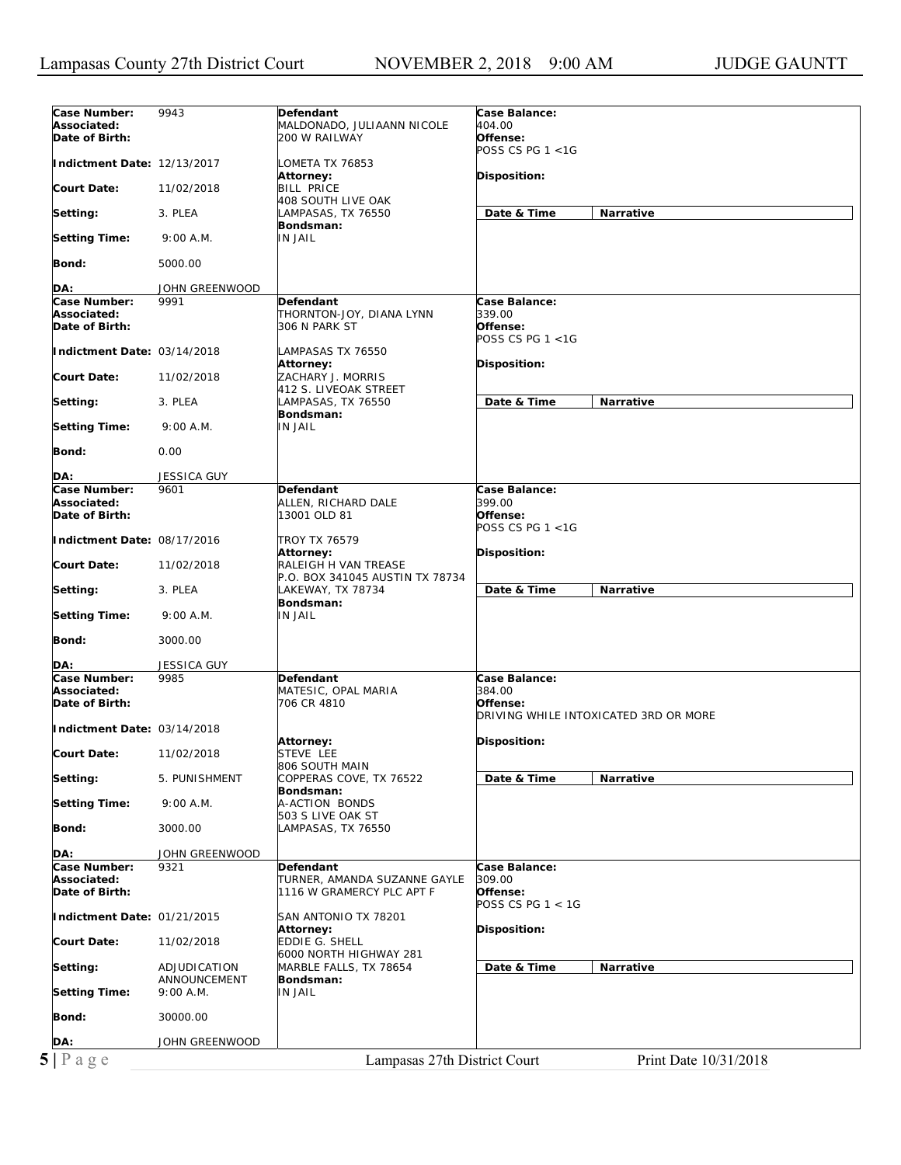| Case Number:                                           | 9943               | Defendant                       | <b>Case Balance:</b>                  |
|--------------------------------------------------------|--------------------|---------------------------------|---------------------------------------|
| Associated:                                            |                    | MALDONADO, JULIAANN NICOLE      | 404.00                                |
| Date of Birth:                                         |                    | 200 W RAILWAY                   | Offense:                              |
|                                                        |                    |                                 | POSS CS PG $1 < 1$ G                  |
|                                                        |                    |                                 |                                       |
| Indictment Date: 12/13/2017                            |                    | LOMETA TX 76853                 |                                       |
|                                                        |                    | Attorney:                       | Disposition:                          |
| <b>Court Date:</b>                                     | 11/02/2018         | <b>BILL PRICE</b>               |                                       |
|                                                        |                    | 408 SOUTH LIVE OAK              |                                       |
|                                                        |                    |                                 |                                       |
| Setting:                                               | 3. PLEA            | LAMPASAS, TX 76550              | Date & Time<br>Narrative              |
|                                                        |                    | Bondsman:                       |                                       |
| <b>Setting Time:</b>                                   | 9:00 A.M.          | <b>IN JAIL</b>                  |                                       |
|                                                        |                    |                                 |                                       |
| Bond:                                                  | 5000.00            |                                 |                                       |
|                                                        |                    |                                 |                                       |
|                                                        |                    |                                 |                                       |
| DA:                                                    | JOHN GREENWOOD     |                                 |                                       |
| Case Number:                                           | 9991               | <b>Defendant</b>                | Case Balance:                         |
| Associated:                                            |                    | THORNTON-JOY, DIANA LYNN        | 339.00                                |
| Date of Birth:                                         |                    | 306 N PARK ST                   | Offense:                              |
|                                                        |                    |                                 | POSS CS PG $1 < 1G$                   |
|                                                        |                    |                                 |                                       |
| Indictment Date: 03/14/2018                            |                    | LAMPASAS TX 76550               |                                       |
|                                                        |                    | Attorney:                       | Disposition:                          |
| <b>Court Date:</b>                                     | 11/02/2018         | ZACHARY J. MORRIS               |                                       |
|                                                        |                    | 412 S. LIVEOAK STREET           |                                       |
| Setting:                                               | 3. PLEA            | LAMPASAS, TX 76550              | Date & Time<br><b>Narrative</b>       |
|                                                        |                    |                                 |                                       |
|                                                        |                    | Bondsman:                       |                                       |
| <b>Setting Time:</b>                                   | 9:00 A.M.          | <b>IN JAIL</b>                  |                                       |
|                                                        |                    |                                 |                                       |
| Bond:                                                  | 0.00               |                                 |                                       |
|                                                        |                    |                                 |                                       |
|                                                        |                    |                                 |                                       |
| DA:                                                    | <b>JESSICA GUY</b> |                                 |                                       |
| Case Number:                                           | 9601               | Defendant                       | Case Balance:                         |
| Associated:                                            |                    | ALLEN, RICHARD DALE             | 399.00                                |
| Date of Birth:                                         |                    | 13001 OLD 81                    | Offense:                              |
|                                                        |                    |                                 | POSS CS PG $1 < 1G$                   |
| Indictment Date: 08/17/2016                            |                    | <b>TROY TX 76579</b>            |                                       |
|                                                        |                    |                                 |                                       |
|                                                        |                    | Attorney:                       | Disposition:                          |
| <b>Court Date:</b>                                     | 11/02/2018         | RALEIGH H VAN TREASE            |                                       |
|                                                        |                    | P.O. BOX 341045 AUSTIN TX 78734 |                                       |
| Setting:                                               | 3. PLEA            | LAKEWAY, TX 78734               | Date & Time<br>Narrative              |
|                                                        |                    | Bondsman:                       |                                       |
|                                                        |                    |                                 |                                       |
| <b>Setting Time:</b>                                   | 9:00 A.M.          | <b>IN JAIL</b>                  |                                       |
|                                                        |                    |                                 |                                       |
| Bond:                                                  | 3000.00            |                                 |                                       |
|                                                        |                    |                                 |                                       |
| DA:                                                    | JESSICA GUY        |                                 |                                       |
| Case Number:                                           | 9985               | Defendant                       | Case Balance:                         |
|                                                        |                    |                                 |                                       |
| Associated:                                            |                    | MATESIC, OPAL MARIA             | 384.00                                |
| Date of Birth:                                         |                    | 706 CR 4810                     | Offense:                              |
|                                                        |                    |                                 | DRIVING WHILE INTOXICATED 3RD OR MORE |
| Indictment Date: 03/14/2018                            |                    |                                 |                                       |
|                                                        |                    | Attorney:                       | Disposition:                          |
| <b>Court Date:</b>                                     | 11/02/2018         |                                 |                                       |
|                                                        |                    | STEVE LEE                       |                                       |
|                                                        |                    | 806 SOUTH MAIN                  |                                       |
| Setting:                                               | 5. PUNISHMENT      | COPPERAS COVE, TX 76522         | Date & Time<br>Narrative              |
|                                                        |                    | Bondsman:                       |                                       |
| Setting Time:                                          | 9:00 A.M.          | A-ACTION BONDS                  |                                       |
|                                                        |                    | 503 S LIVE OAK ST               |                                       |
|                                                        |                    |                                 |                                       |
| Bond:                                                  | 3000.00            | LAMPASAS, TX 76550              |                                       |
|                                                        |                    |                                 |                                       |
| DA:                                                    | JOHN GREENWOOD     |                                 |                                       |
| Case Number:                                           | 9321               | Defendant                       | Case Balance:                         |
| Associated:                                            |                    | TURNER, AMANDA SUZANNE GAYLE    | 309.00                                |
| Date of Birth:                                         |                    | 1116 W GRAMERCY PLC APT F       | Offense:                              |
|                                                        |                    |                                 |                                       |
|                                                        |                    |                                 | POSS CS PG $1 < 1$ G                  |
| Indictment Date: 01/21/2015                            |                    | SAN ANTONIO TX 78201            |                                       |
|                                                        |                    | Attorney:                       | Disposition:                          |
|                                                        | 11/02/2018         | <b>EDDIE G. SHELL</b>           |                                       |
|                                                        |                    | 6000 NORTH HIGHWAY 281          |                                       |
|                                                        |                    |                                 |                                       |
|                                                        |                    |                                 |                                       |
|                                                        | ADJUDICATION       | MARBLE FALLS, TX 78654          | Date & Time<br>Narrative              |
|                                                        | ANNOUNCEMENT       | Bondsman:                       |                                       |
| <b>Court Date:</b><br>Setting:<br><b>Setting Time:</b> | 9:00 A.M.          | <b>IN JAIL</b>                  |                                       |
|                                                        |                    |                                 |                                       |
|                                                        |                    |                                 |                                       |
| Bond:                                                  | 30000.00           |                                 |                                       |
|                                                        |                    |                                 |                                       |
| DA:                                                    | JOHN GREENWOOD     |                                 |                                       |
| 5 Page                                                 |                    | Lampasas 27th District Court    | Print Date 10/31/2018                 |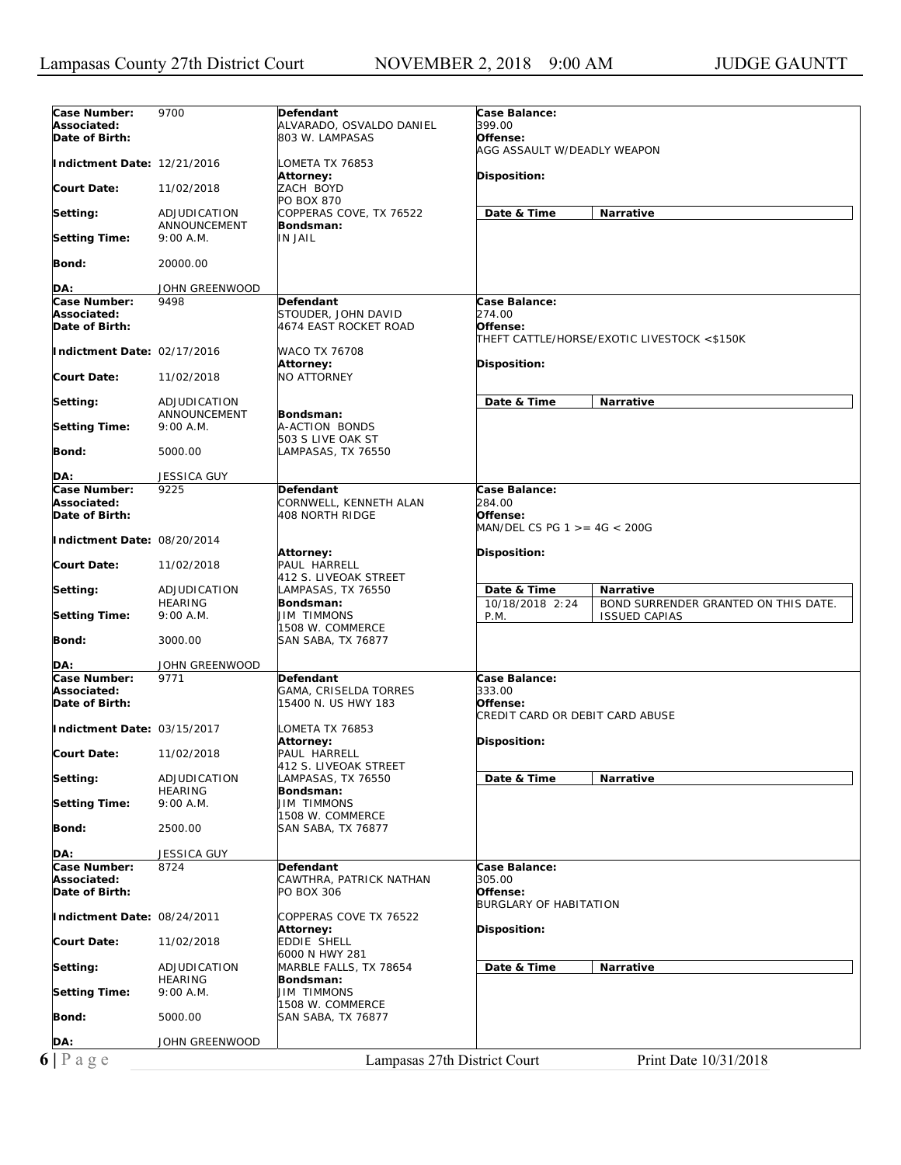| Case Number:                  | 9700                         | Defendant                             | Case Balance:                                           |
|-------------------------------|------------------------------|---------------------------------------|---------------------------------------------------------|
| Associated:                   |                              | ALVARADO, OSVALDO DANIEL              | 399.00                                                  |
| Date of Birth:                |                              | 803 W. LAMPASAS                       | Offense:                                                |
|                               |                              |                                       | AGG ASSAULT W/DEADLY WEAPON                             |
| Indictment Date: 12/21/2016   |                              | LOMETA TX 76853                       |                                                         |
|                               |                              | Attorney:                             | Disposition:                                            |
| <b>Court Date:</b>            | 11/02/2018                   | ZACH BOYD                             |                                                         |
|                               |                              | PO BOX 870                            |                                                         |
| Setting:                      | ADJUDICATION<br>ANNOUNCEMENT | COPPERAS COVE, TX 76522<br>Bondsman:  | Date & Time<br><b>Narrative</b>                         |
| <b>Setting Time:</b>          | 9:00 A.M.                    | IN JAIL                               |                                                         |
|                               |                              |                                       |                                                         |
| Bond:                         | 20000.00                     |                                       |                                                         |
|                               |                              |                                       |                                                         |
| DA:                           | JOHN GREENWOOD               |                                       |                                                         |
| Case Number:                  | 9498                         | Defendant                             | Case Balance:                                           |
| Associated:                   |                              | STOUDER, JOHN DAVID                   | 274.00<br>Offense:                                      |
| Date of Birth:                |                              | 4674 EAST ROCKET ROAD                 | THEFT CATTLE/HORSE/EXOTIC LIVESTOCK <\$150K             |
| Indictment Date: 02/17/2016   |                              | WACO TX 76708                         |                                                         |
|                               |                              | Attorney:                             | Disposition:                                            |
| <b>Court Date:</b>            | 11/02/2018                   | <b>NO ATTORNEY</b>                    |                                                         |
|                               |                              |                                       |                                                         |
| Setting:                      | ADJUDICATION                 |                                       | Date & Time<br>Narrative                                |
|                               | ANNOUNCEMENT                 | Bondsman:                             |                                                         |
| <b>Setting Time:</b>          | $9:00$ A.M.                  | A-ACTION BONDS<br>503 S LIVE OAK ST   |                                                         |
| Bond:                         | 5000.00                      | LAMPASAS, TX 76550                    |                                                         |
|                               |                              |                                       |                                                         |
| DA:                           | <b>JESSICA GUY</b>           |                                       |                                                         |
| Case Number:                  | 9225                         | Defendant                             | Case Balance:                                           |
| Associated:                   |                              | CORNWELL, KENNETH ALAN                | 284.00                                                  |
| Date of Birth:                |                              | <b>408 NORTH RIDGE</b>                | Offense:                                                |
|                               |                              |                                       | MAN/DEL CS PG 1 > = 4G < 200G                           |
| Indictment Date: 08/20/2014   |                              | Attorney:                             |                                                         |
| <b>Court Date:</b>            | 11/02/2018                   | PAUL HARRELL                          | Disposition:                                            |
|                               |                              | 412 S. LIVEOAK STREET                 |                                                         |
| Setting:                      | ADJUDICATION                 | LAMPASAS, TX 76550                    | Date & Time<br><b>Narrative</b>                         |
|                               | <b>HEARING</b>               | Bondsman:                             | 10/18/2018 2:24<br>BOND SURRENDER GRANTED ON THIS DATE. |
| <b>Setting Time:</b>          | 9:00 A.M.                    | <b>JIM TIMMONS</b>                    | P.M.<br><b>ISSUED CAPIAS</b>                            |
|                               |                              | 1508 W. COMMERCE                      |                                                         |
| Bond:                         | 3000.00                      | SAN SABA, TX 76877                    |                                                         |
| DA:                           | JOHN GREENWOOD               |                                       |                                                         |
| Case Number:                  | 9771                         | Defendant                             | Case Balance:                                           |
| Associated:                   |                              | GAMA, CRISELDA TORRES                 | 333.00                                                  |
| Date of Birth:                |                              | 15400 N. US HWY 183                   | Offense:                                                |
|                               |                              |                                       | CREDIT CARD OR DEBIT CARD ABUSE                         |
| Indictment Date: 03/15/2017   |                              | LOMETA TX 76853                       |                                                         |
|                               |                              | Attorney:<br>PAUL HARRELL             | Disposition:                                            |
| <b>Court Date:</b>            | 11/02/2018                   | 412 S. LIVEOAK STREET                 |                                                         |
| Setting:                      | ADJUDICATION                 | LAMPASAS, TX 76550                    | Date & Time<br>Narrative                                |
|                               | <b>HEARING</b>               | Bondsman:                             |                                                         |
| <b>Setting Time:</b>          | 9:00 A.M.                    | JIM TIMMONS                           |                                                         |
|                               |                              |                                       |                                                         |
|                               |                              | 1508 W. COMMERCE                      |                                                         |
| Bond:                         | 2500.00                      | SAN SABA, TX 76877                    |                                                         |
|                               |                              |                                       |                                                         |
| DA:                           | <b>JESSICA GUY</b>           |                                       |                                                         |
| Case Number:                  | 8724                         | Defendant                             | Case Balance:                                           |
| Associated:<br>Date of Birth: |                              | CAWTHRA, PATRICK NATHAN<br>PO BOX 306 | <i>305.00</i><br>Offense:                               |
|                               |                              |                                       | <b>BURGLARY OF HABITATION</b>                           |
| Indictment Date: 08/24/2011   |                              | COPPERAS COVE TX 76522                |                                                         |
|                               |                              | Attorney:                             | Disposition:                                            |
| <b>Court Date:</b>            | 11/02/2018                   | EDDIE SHELL                           |                                                         |
|                               |                              | 6000 N HWY 281                        |                                                         |
| Setting:                      | ADJUDICATION                 | MARBLE FALLS, TX 78654                | Date & Time<br>Narrative                                |
|                               | HEARING                      | Bondsman:<br><b>JIM TIMMONS</b>       |                                                         |
| <b>Setting Time:</b>          | 9:00 A.M.                    | 1508 W. COMMERCE                      |                                                         |
| Bond:                         | 5000.00                      | SAN SABA, TX 76877                    |                                                         |
|                               |                              |                                       |                                                         |
| DA:<br>$6 P \text{ a } g e$   | JOHN GREENWOOD               | Lampasas 27th District Court          | Print Date 10/31/2018                                   |